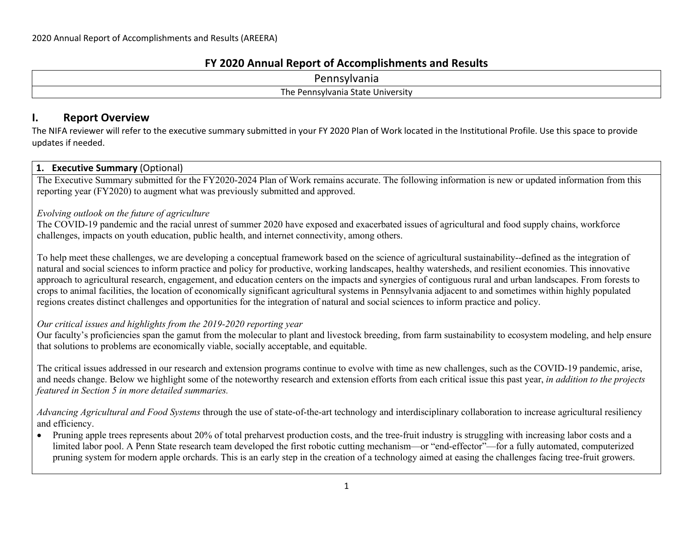#### **FY 2020 Annual Report of Accomplishments and Results**

| -<br>100 <sup>o</sup><br>11116.                             |  |
|-------------------------------------------------------------|--|
| Jniversity<br>l he<br>state.<br>---<br>ania<br>്ഗ<br>ennsvi |  |

#### **I. Report Overview**

The NIFA reviewer will refer to the executive summary submitted in your FY 2020 Plan of Work located in the Institutional Profile. Use this space to provide updates if needed.

#### **1. Executive Summary** (Optional)

The Executive Summary submitted for the FY2020-2024 Plan of Work remains accurate. The following information is new or updated information from this reporting year (FY2020) to augment what was previously submitted and approved.

#### *Evolving outlook on the future of agriculture*

The COVID-19 pandemic and the racial unrest of summer 2020 have exposed and exacerbated issues of agricultural and food supply chains, workforce challenges, impacts on youth education, public health, and internet connectivity, among others.

To help meet these challenges, we are developing a conceptual framework based on the science of agricultural sustainability--defined as the integration of natural and social sciences to inform practice and policy for productive, working landscapes, healthy watersheds, and resilient economies. This innovative approach to agricultural research, engagement, and education centers on the impacts and synergies of contiguous rural and urban landscapes. From forests to crops to animal facilities, the location of economically significant agricultural systems in Pennsylvania adjacent to and sometimes within highly populated regions creates distinct challenges and opportunities for the integration of natural and social sciences to inform practice and policy.

#### *Our critical issues and highlights from the 2019-2020 reporting year*

Our faculty's proficiencies span the gamut from the molecular to plant and livestock breeding, from farm sustainability to ecosystem modeling, and help ensure that solutions to problems are economically viable, socially acceptable, and equitable.

The critical issues addressed in our research and extension programs continue to evolve with time as new challenges, such as the COVID-19 pandemic, arise, and needs change. Below we highlight some of the noteworthy research and extension efforts from each critical issue this past year, *in addition to the projects featured in Section 5 in more detailed summaries.*

*Advancing Agricultural and Food Systems* through the use of state-of-the-art technology and interdisciplinary collaboration to increase agricultural resiliency and efficiency.

• Pruning apple trees represents about 20% of total preharvest production costs, and the tree-fruit industry is struggling with increasing labor costs and a limited labor pool. A Penn State research team developed the first robotic cutting mechanism—or "end-effector"—for a fully automated, computerized pruning system for modern apple orchards. This is an early step in the creation of a technology aimed at easing the challenges facing tree-fruit growers.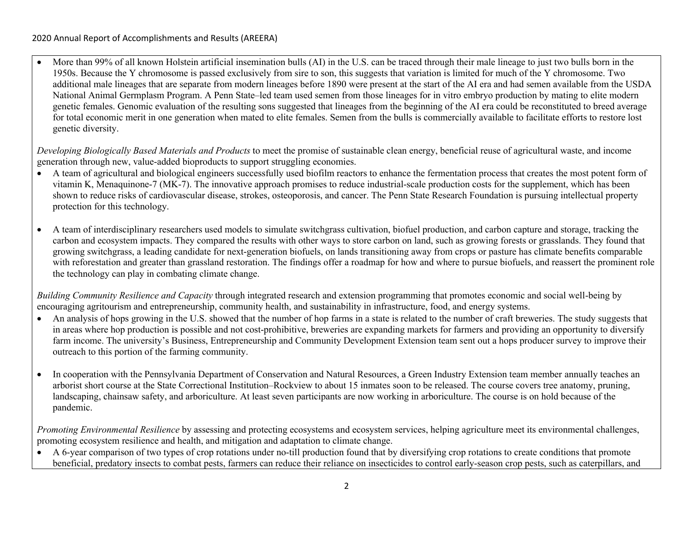• More than 99% of all known Holstein artificial insemination bulls (AI) in the U.S. can be traced through their male lineage to just two bulls born in the 1950s. Because the Y chromosome is passed exclusively from sire to son, this suggests that variation is limited for much of the Y chromosome. Two additional male lineages that are separate from modern lineages before 1890 were present at the start of the AI era and had semen available from the USDA National Animal Germplasm Program. A Penn State–led team used semen from those lineages for in vitro embryo production by mating to elite modern genetic females. Genomic evaluation of the resulting sons suggested that lineages from the beginning of the AI era could be reconstituted to breed average for total economic merit in one generation when mated to elite females. Semen from the bulls is commercially available to facilitate efforts to restore lost genetic diversity.

*Developing Biologically Based Materials and Products* to meet the promise of sustainable clean energy, beneficial reuse of agricultural waste, and income generation through new, value-added bioproducts to support struggling economies.

- A team of agricultural and biological engineers successfully used biofilm reactors to enhance the fermentation process that creates the most potent form of vitamin K, Menaquinone-7 (MK-7). The innovative approach promises to reduce industrial-scale production costs for the supplement, which has been shown to reduce risks of cardiovascular disease, strokes, osteoporosis, and cancer. The Penn State Research Foundation is pursuing intellectual property protection for this technology.
- A team of interdisciplinary researchers used models to simulate switchgrass cultivation, biofuel production, and carbon capture and storage, tracking the carbon and ecosystem impacts. They compared the results with other ways to store carbon on land, such as growing forests or grasslands. They found that growing switchgrass, a leading candidate for next-generation biofuels, on lands transitioning away from crops or pasture has climate benefits comparable with reforestation and greater than grassland restoration. The findings offer a roadmap for how and where to pursue biofuels, and reassert the prominent role the technology can play in combating climate change.

*Building Community Resilience and Capacity* through integrated research and extension programming that promotes economic and social well-being by encouraging agritourism and entrepreneurship, community health, and sustainability in infrastructure, food, and energy systems.

- An analysis of hops growing in the U.S. showed that the number of hop farms in a state is related to the number of craft breweries. The study suggests that in areas where hop production is possible and not cost-prohibitive, breweries are expanding markets for farmers and providing an opportunity to diversify farm income. The university's Business, Entrepreneurship and Community Development Extension team sent out a hops producer survey to improve their outreach to this portion of the farming community.
- In cooperation with the Pennsylvania Department of Conservation and Natural Resources, a Green Industry Extension team member annually teaches an arborist short course at the State Correctional Institution–Rockview to about 15 inmates soon to be released. The course covers tree anatomy, pruning, landscaping, chainsaw safety, and arboriculture. At least seven participants are now working in arboriculture. The course is on hold because of the pandemic.

*Promoting Environmental Resilience* by assessing and protecting ecosystems and ecosystem services, helping agriculture meet its environmental challenges, promoting ecosystem resilience and health, and mitigation and adaptation to climate change.

• A 6-year comparison of two types of crop rotations under no-till production found that by diversifying crop rotations to create conditions that promote beneficial, predatory insects to combat pests, farmers can reduce their reliance on insecticides to control early-season crop pests, such as caterpillars, and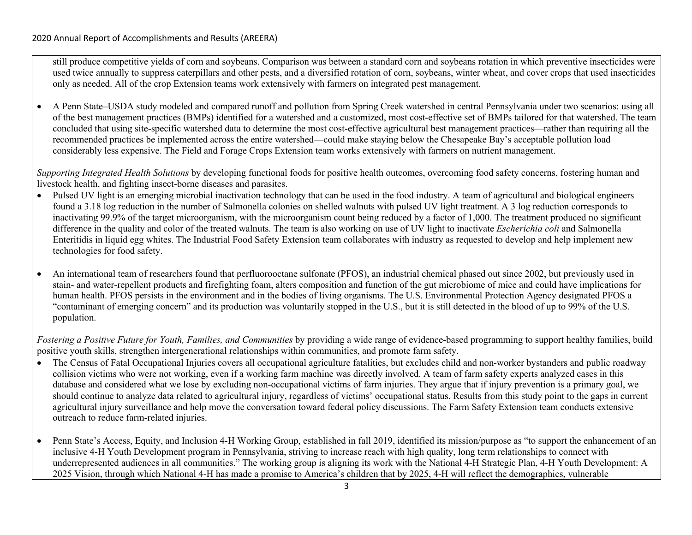still produce competitive yields of corn and soybeans. Comparison was between a standard corn and soybeans rotation in which preventive insecticides were used twice annually to suppress caterpillars and other pests, and a diversified rotation of corn, soybeans, winter wheat, and cover crops that used insecticides only as needed. All of the crop Extension teams work extensively with farmers on integrated pest management.

• A Penn State–USDA study modeled and compared runoff and pollution from Spring Creek watershed in central Pennsylvania under two scenarios: using all of the best management practices (BMPs) identified for a watershed and a customized, most cost-effective set of BMPs tailored for that watershed. The team concluded that using site-specific watershed data to determine the most cost-effective agricultural best management practices—rather than requiring all the recommended practices be implemented across the entire watershed—could make staying below the Chesapeake Bay's acceptable pollution load considerably less expensive. The Field and Forage Crops Extension team works extensively with farmers on nutrient management.

*Supporting Integrated Health Solutions* by developing functional foods for positive health outcomes, overcoming food safety concerns, fostering human and livestock health, and fighting insect-borne diseases and parasites.

- Pulsed UV light is an emerging microbial inactivation technology that can be used in the food industry. A team of agricultural and biological engineers found a 3.18 log reduction in the number of Salmonella colonies on shelled walnuts with pulsed UV light treatment. A 3 log reduction corresponds to inactivating 99.9% of the target microorganism, with the microorganism count being reduced by a factor of 1,000. The treatment produced no significant difference in the quality and color of the treated walnuts. The team is also working on use of UV light to inactivate *Escherichia coli* and Salmonella Enteritidis in liquid egg whites. The Industrial Food Safety Extension team collaborates with industry as requested to develop and help implement new technologies for food safety.
- An international team of researchers found that perfluorooctane sulfonate (PFOS), an industrial chemical phased out since 2002, but previously used in stain- and water-repellent products and firefighting foam, alters composition and function of the gut microbiome of mice and could have implications for human health. PFOS persists in the environment and in the bodies of living organisms. The U.S. Environmental Protection Agency designated PFOS a "contaminant of emerging concern" and its production was voluntarily stopped in the U.S., but it is still detected in the blood of up to 99% of the U.S. population.

*Fostering a Positive Future for Youth, Families, and Communities* by providing a wide range of evidence-based programming to support healthy families, build positive youth skills, strengthen intergenerational relationships within communities, and promote farm safety.

- The Census of Fatal Occupational Injuries covers all occupational agriculture fatalities, but excludes child and non-worker bystanders and public roadway collision victims who were not working, even if a working farm machine was directly involved. A team of farm safety experts analyzed cases in this database and considered what we lose by excluding non-occupational victims of farm injuries. They argue that if injury prevention is a primary goal, we should continue to analyze data related to agricultural injury, regardless of victims' occupational status. Results from this study point to the gaps in current agricultural injury surveillance and help move the conversation toward federal policy discussions. The Farm Safety Extension team conducts extensive outreach to reduce farm-related injuries.
- Penn State's Access, Equity, and Inclusion 4-H Working Group, established in fall 2019, identified its mission/purpose as "to support the enhancement of an inclusive 4-H Youth Development program in Pennsylvania, striving to increase reach with high quality, long term relationships to connect with underrepresented audiences in all communities." The working group is aligning its work with the National 4-H Strategic Plan, 4-H Youth Development: A 2025 Vision, through which National 4-H has made a promise to America's children that by 2025, 4-H will reflect the demographics, vulnerable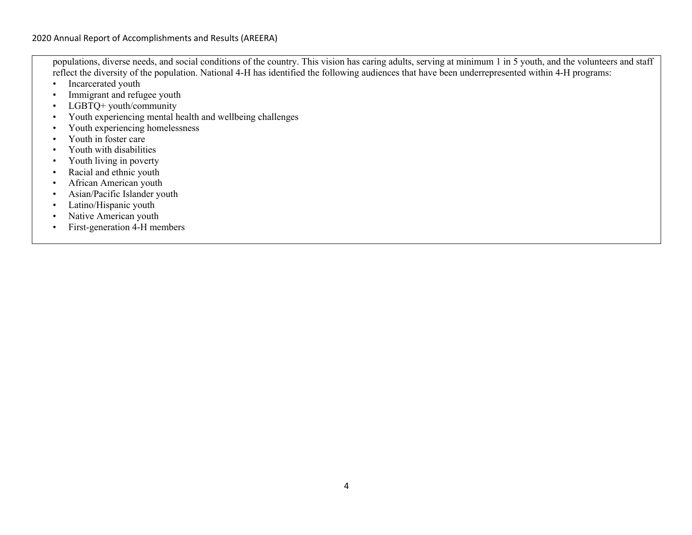populations, diverse needs, and social conditions of the country. This vision has caring adults, serving at minimum 1 in 5 youth, and the volunteers and staff reflect the diversity of the population. National 4-H has identified the following audiences that have been underrepresented within 4-H programs:

- Incarcerated youth
- Immigrant and refugee youth
- LGBTO+ youth/community
- Youth experiencing mental health and wellbeing challenges
- Youth experiencing homelessness
- Youth in foster care
- Youth with disabilities
- Youth living in poverty
- Racial and ethnic youth
- African American youth
- Asian/Pacific Islander youth
- Latino/Hispanic youth
- Native American youth
- First-generation 4-H members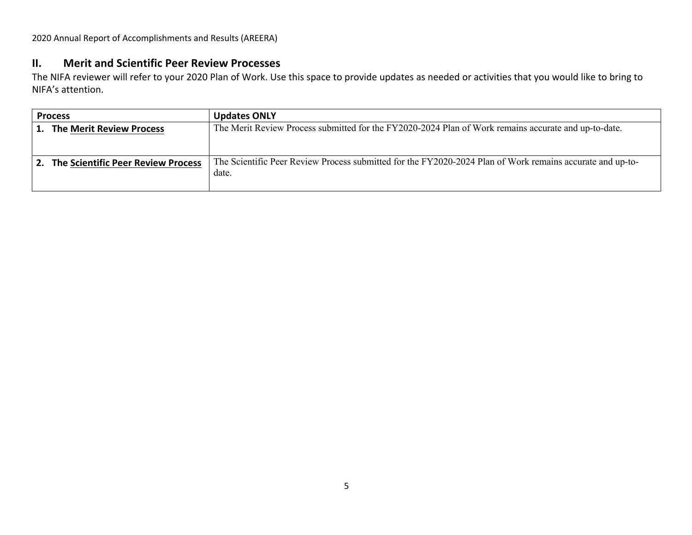#### **II. Merit and Scientific Peer Review Processes**

The NIFA reviewer will refer to your 2020 Plan of Work. Use this space to provide updates as needed or activities that you would like to bring to NIFA's attention.

|                                       | <b>Process</b>                     | <b>Updates ONLY</b>                                                                                       |
|---------------------------------------|------------------------------------|-----------------------------------------------------------------------------------------------------------|
| <b>The Merit Review Process</b><br>1. |                                    | The Merit Review Process submitted for the FY2020-2024 Plan of Work remains accurate and up-to-date.      |
|                                       |                                    |                                                                                                           |
| 2.                                    | The Scientific Peer Review Process | The Scientific Peer Review Process submitted for the FY2020-2024 Plan of Work remains accurate and up-to- |
|                                       |                                    | date.                                                                                                     |
|                                       |                                    |                                                                                                           |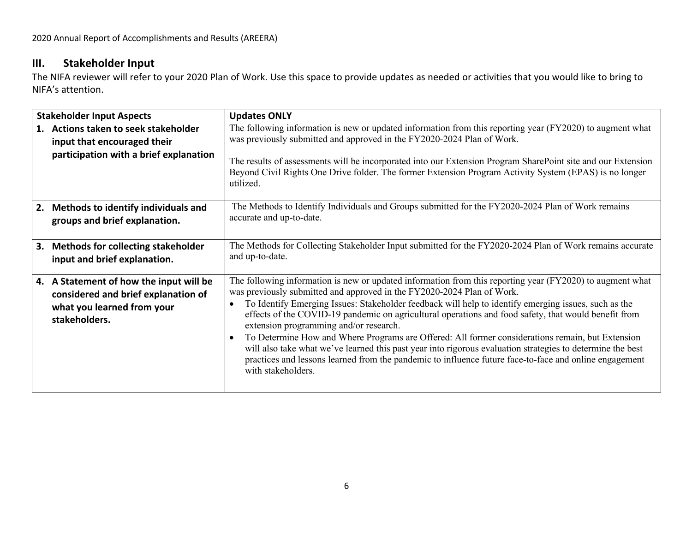# **III. Stakeholder Input**

The NIFA reviewer will refer to your 2020 Plan of Work. Use this space to provide updates as needed or activities that you would like to bring to NIFA's attention.

| <b>Stakeholder Input Aspects</b> |                                                                                                                               | <b>Updates ONLY</b>                                                                                                                                                                                                                                                                                                                                                                                                                                                                                                                                                                                                                                                                                                                                                                             |
|----------------------------------|-------------------------------------------------------------------------------------------------------------------------------|-------------------------------------------------------------------------------------------------------------------------------------------------------------------------------------------------------------------------------------------------------------------------------------------------------------------------------------------------------------------------------------------------------------------------------------------------------------------------------------------------------------------------------------------------------------------------------------------------------------------------------------------------------------------------------------------------------------------------------------------------------------------------------------------------|
|                                  | 1. Actions taken to seek stakeholder<br>input that encouraged their<br>participation with a brief explanation                 | The following information is new or updated information from this reporting year (FY2020) to augment what<br>was previously submitted and approved in the FY2020-2024 Plan of Work.<br>The results of assessments will be incorporated into our Extension Program SharePoint site and our Extension<br>Beyond Civil Rights One Drive folder. The former Extension Program Activity System (EPAS) is no longer<br>utilized.                                                                                                                                                                                                                                                                                                                                                                      |
|                                  | 2. Methods to identify individuals and<br>groups and brief explanation.                                                       | The Methods to Identify Individuals and Groups submitted for the FY2020-2024 Plan of Work remains<br>accurate and up-to-date.                                                                                                                                                                                                                                                                                                                                                                                                                                                                                                                                                                                                                                                                   |
|                                  | 3. Methods for collecting stakeholder<br>input and brief explanation.                                                         | The Methods for Collecting Stakeholder Input submitted for the FY2020-2024 Plan of Work remains accurate<br>and up-to-date.                                                                                                                                                                                                                                                                                                                                                                                                                                                                                                                                                                                                                                                                     |
|                                  | 4. A Statement of how the input will be<br>considered and brief explanation of<br>what you learned from your<br>stakeholders. | The following information is new or updated information from this reporting year (FY2020) to augment what<br>was previously submitted and approved in the FY2020-2024 Plan of Work.<br>To Identify Emerging Issues: Stakeholder feedback will help to identify emerging issues, such as the<br>effects of the COVID-19 pandemic on agricultural operations and food safety, that would benefit from<br>extension programming and/or research.<br>To Determine How and Where Programs are Offered: All former considerations remain, but Extension<br>will also take what we've learned this past year into rigorous evaluation strategies to determine the best<br>practices and lessons learned from the pandemic to influence future face-to-face and online engagement<br>with stakeholders. |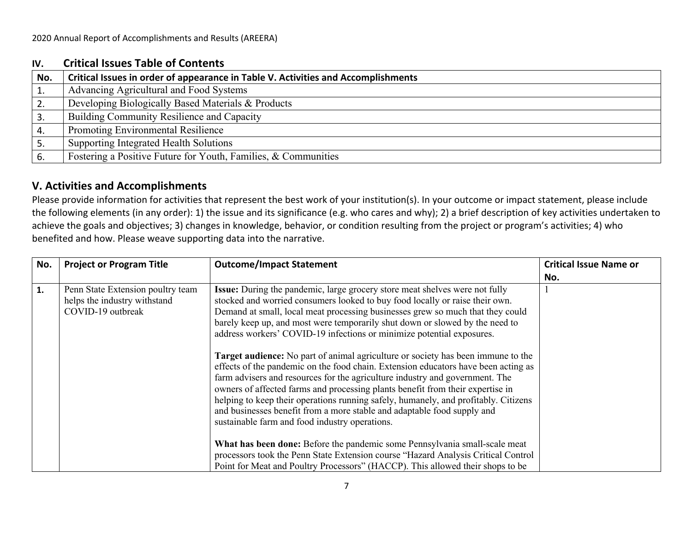### **IV. Critical Issues Table of Contents**

| No.             | Critical Issues in order of appearance in Table V. Activities and Accomplishments |
|-----------------|-----------------------------------------------------------------------------------|
|                 | Advancing Agricultural and Food Systems                                           |
|                 | Developing Biologically Based Materials & Products                                |
|                 | Building Community Resilience and Capacity                                        |
|                 | <b>Promoting Environmental Resilience</b>                                         |
| <sup>1</sup> 5. | Supporting Integrated Health Solutions                                            |
|                 | Fostering a Positive Future for Youth, Families, & Communities                    |

# **V. Activities and Accomplishments**

Please provide information for activities that represent the best work of your institution(s). In your outcome or impact statement, please include the following elements (in any order): 1) the issue and its significance (e.g. who cares and why); 2) a brief description of key activities undertaken to achieve the goals and objectives; 3) changes in knowledge, behavior, or condition resulting from the project or program's activities; 4) who benefited and how. Please weave supporting data into the narrative.

| No. | <b>Project or Program Title</b>                                                        | <b>Outcome/Impact Statement</b>                                                                                                                                                                                                                                                                                                                                                                                                                                                                                                                                                                                                                                                                                                                                                                                                                                                                                                                                        | <b>Critical Issue Name or</b> |
|-----|----------------------------------------------------------------------------------------|------------------------------------------------------------------------------------------------------------------------------------------------------------------------------------------------------------------------------------------------------------------------------------------------------------------------------------------------------------------------------------------------------------------------------------------------------------------------------------------------------------------------------------------------------------------------------------------------------------------------------------------------------------------------------------------------------------------------------------------------------------------------------------------------------------------------------------------------------------------------------------------------------------------------------------------------------------------------|-------------------------------|
|     |                                                                                        |                                                                                                                                                                                                                                                                                                                                                                                                                                                                                                                                                                                                                                                                                                                                                                                                                                                                                                                                                                        | No.                           |
| 1.  | Penn State Extension poultry team<br>helps the industry withstand<br>COVID-19 outbreak | Issue: During the pandemic, large grocery store meat shelves were not fully<br>stocked and worried consumers looked to buy food locally or raise their own.<br>Demand at small, local meat processing businesses grew so much that they could<br>barely keep up, and most were temporarily shut down or slowed by the need to<br>address workers' COVID-19 infections or minimize potential exposures.<br>Target audience: No part of animal agriculture or society has been immune to the<br>effects of the pandemic on the food chain. Extension educators have been acting as<br>farm advisers and resources for the agriculture industry and government. The<br>owners of affected farms and processing plants benefit from their expertise in<br>helping to keep their operations running safely, humanely, and profitably. Citizens<br>and businesses benefit from a more stable and adaptable food supply and<br>sustainable farm and food industry operations. |                               |
|     |                                                                                        | What has been done: Before the pandemic some Pennsylvania small-scale meat<br>processors took the Penn State Extension course "Hazard Analysis Critical Control                                                                                                                                                                                                                                                                                                                                                                                                                                                                                                                                                                                                                                                                                                                                                                                                        |                               |
|     |                                                                                        | Point for Meat and Poultry Processors" (HACCP). This allowed their shops to be                                                                                                                                                                                                                                                                                                                                                                                                                                                                                                                                                                                                                                                                                                                                                                                                                                                                                         |                               |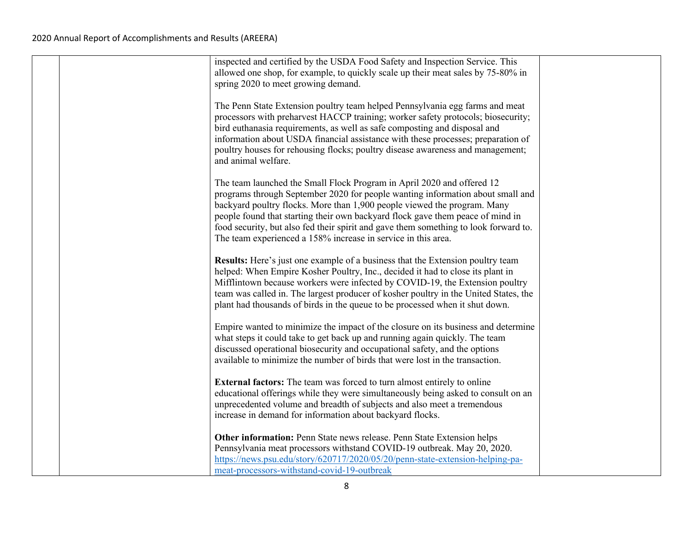|  | inspected and certified by the USDA Food Safety and Inspection Service. This<br>allowed one shop, for example, to quickly scale up their meat sales by 75-80% in<br>spring 2020 to meet growing demand.                                                                                                                                                                                                                                                                         |  |
|--|---------------------------------------------------------------------------------------------------------------------------------------------------------------------------------------------------------------------------------------------------------------------------------------------------------------------------------------------------------------------------------------------------------------------------------------------------------------------------------|--|
|  | The Penn State Extension poultry team helped Pennsylvania egg farms and meat<br>processors with preharvest HACCP training; worker safety protocols; biosecurity;<br>bird euthanasia requirements, as well as safe composting and disposal and<br>information about USDA financial assistance with these processes; preparation of<br>poultry houses for rehousing flocks; poultry disease awareness and management;<br>and animal welfare.                                      |  |
|  | The team launched the Small Flock Program in April 2020 and offered 12<br>programs through September 2020 for people wanting information about small and<br>backyard poultry flocks. More than 1,900 people viewed the program. Many<br>people found that starting their own backyard flock gave them peace of mind in<br>food security, but also fed their spirit and gave them something to look forward to.<br>The team experienced a 158% increase in service in this area. |  |
|  | <b>Results:</b> Here's just one example of a business that the Extension poultry team<br>helped: When Empire Kosher Poultry, Inc., decided it had to close its plant in<br>Mifflintown because workers were infected by COVID-19, the Extension poultry<br>team was called in. The largest producer of kosher poultry in the United States, the<br>plant had thousands of birds in the queue to be processed when it shut down.                                                 |  |
|  | Empire wanted to minimize the impact of the closure on its business and determine<br>what steps it could take to get back up and running again quickly. The team<br>discussed operational biosecurity and occupational safety, and the options<br>available to minimize the number of birds that were lost in the transaction.                                                                                                                                                  |  |
|  | <b>External factors:</b> The team was forced to turn almost entirely to online<br>educational offerings while they were simultaneously being asked to consult on an<br>unprecedented volume and breadth of subjects and also meet a tremendous<br>increase in demand for information about backyard flocks.                                                                                                                                                                     |  |
|  | Other information: Penn State news release. Penn State Extension helps<br>Pennsylvania meat processors withstand COVID-19 outbreak. May 20, 2020.<br>https://news.psu.edu/story/620717/2020/05/20/penn-state-extension-helping-pa-<br>meat-processors-withstand-covid-19-outbreak                                                                                                                                                                                               |  |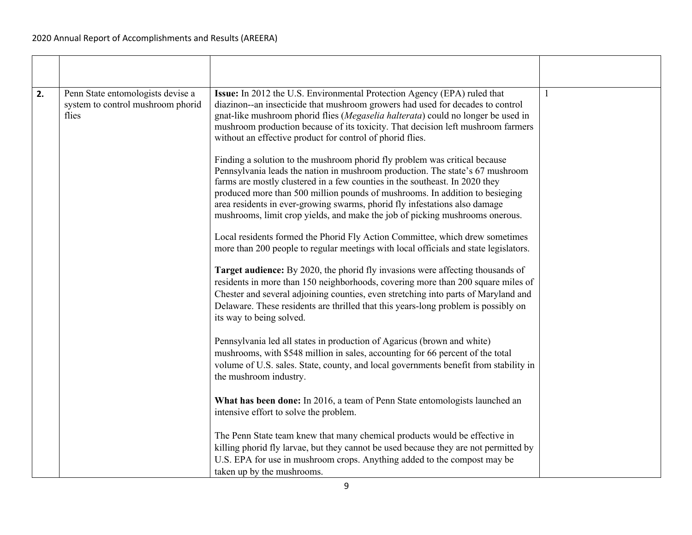| 2. | Penn State entomologists devise a<br>system to control mushroom phorid<br>flies | Issue: In 2012 the U.S. Environmental Protection Agency (EPA) ruled that<br>diazinon--an insecticide that mushroom growers had used for decades to control<br>gnat-like mushroom phorid flies (Megaselia halterata) could no longer be used in<br>mushroom production because of its toxicity. That decision left mushroom farmers<br>without an effective product for control of phorid flies.                                                                                          | $\mathbf{1}$ |
|----|---------------------------------------------------------------------------------|------------------------------------------------------------------------------------------------------------------------------------------------------------------------------------------------------------------------------------------------------------------------------------------------------------------------------------------------------------------------------------------------------------------------------------------------------------------------------------------|--------------|
|    |                                                                                 | Finding a solution to the mushroom phorid fly problem was critical because<br>Pennsylvania leads the nation in mushroom production. The state's 67 mushroom<br>farms are mostly clustered in a few counties in the southeast. In 2020 they<br>produced more than 500 million pounds of mushrooms. In addition to besieging<br>area residents in ever-growing swarms, phorid fly infestations also damage<br>mushrooms, limit crop yields, and make the job of picking mushrooms onerous. |              |
|    |                                                                                 | Local residents formed the Phorid Fly Action Committee, which drew sometimes<br>more than 200 people to regular meetings with local officials and state legislators.                                                                                                                                                                                                                                                                                                                     |              |
|    |                                                                                 | Target audience: By 2020, the phorid fly invasions were affecting thousands of<br>residents in more than 150 neighborhoods, covering more than 200 square miles of<br>Chester and several adjoining counties, even stretching into parts of Maryland and<br>Delaware. These residents are thrilled that this years-long problem is possibly on<br>its way to being solved.                                                                                                               |              |
|    |                                                                                 | Pennsylvania led all states in production of Agaricus (brown and white)<br>mushrooms, with \$548 million in sales, accounting for 66 percent of the total<br>volume of U.S. sales. State, county, and local governments benefit from stability in<br>the mushroom industry.                                                                                                                                                                                                              |              |
|    |                                                                                 | What has been done: In 2016, a team of Penn State entomologists launched an<br>intensive effort to solve the problem.                                                                                                                                                                                                                                                                                                                                                                    |              |
|    |                                                                                 | The Penn State team knew that many chemical products would be effective in<br>killing phorid fly larvae, but they cannot be used because they are not permitted by<br>U.S. EPA for use in mushroom crops. Anything added to the compost may be<br>taken up by the mushrooms.                                                                                                                                                                                                             |              |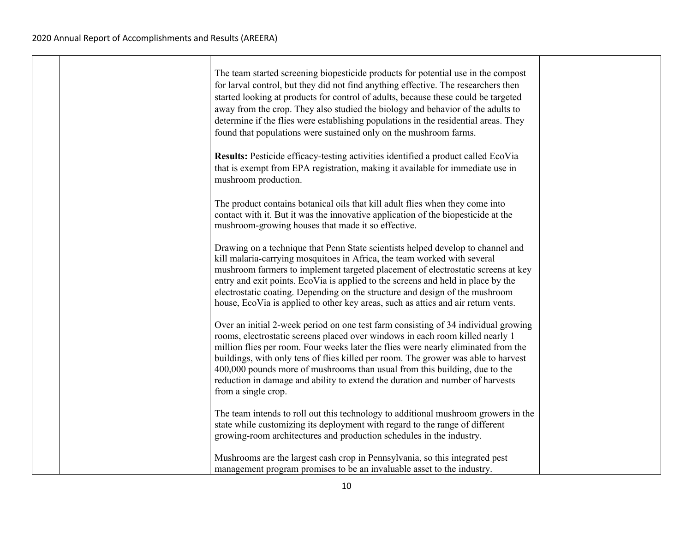$\top$ 

|  | The team started screening biopesticide products for potential use in the compost<br>for larval control, but they did not find anything effective. The researchers then<br>started looking at products for control of adults, because these could be targeted<br>away from the crop. They also studied the biology and behavior of the adults to<br>determine if the flies were establishing populations in the residential areas. They<br>found that populations were sustained only on the mushroom farms.                          |
|--|---------------------------------------------------------------------------------------------------------------------------------------------------------------------------------------------------------------------------------------------------------------------------------------------------------------------------------------------------------------------------------------------------------------------------------------------------------------------------------------------------------------------------------------|
|  | Results: Pesticide efficacy-testing activities identified a product called EcoVia<br>that is exempt from EPA registration, making it available for immediate use in<br>mushroom production.                                                                                                                                                                                                                                                                                                                                           |
|  | The product contains botanical oils that kill adult flies when they come into<br>contact with it. But it was the innovative application of the biopesticide at the<br>mushroom-growing houses that made it so effective.                                                                                                                                                                                                                                                                                                              |
|  | Drawing on a technique that Penn State scientists helped develop to channel and<br>kill malaria-carrying mosquitoes in Africa, the team worked with several<br>mushroom farmers to implement targeted placement of electrostatic screens at key<br>entry and exit points. EcoVia is applied to the screens and held in place by the<br>electrostatic coating. Depending on the structure and design of the mushroom<br>house, EcoVia is applied to other key areas, such as attics and air return vents.                              |
|  | Over an initial 2-week period on one test farm consisting of 34 individual growing<br>rooms, electrostatic screens placed over windows in each room killed nearly 1<br>million flies per room. Four weeks later the flies were nearly eliminated from the<br>buildings, with only tens of flies killed per room. The grower was able to harvest<br>400,000 pounds more of mushrooms than usual from this building, due to the<br>reduction in damage and ability to extend the duration and number of harvests<br>from a single crop. |
|  | The team intends to roll out this technology to additional mushroom growers in the<br>state while customizing its deployment with regard to the range of different<br>growing-room architectures and production schedules in the industry.                                                                                                                                                                                                                                                                                            |
|  | Mushrooms are the largest cash crop in Pennsylvania, so this integrated pest<br>management program promises to be an invaluable asset to the industry.                                                                                                                                                                                                                                                                                                                                                                                |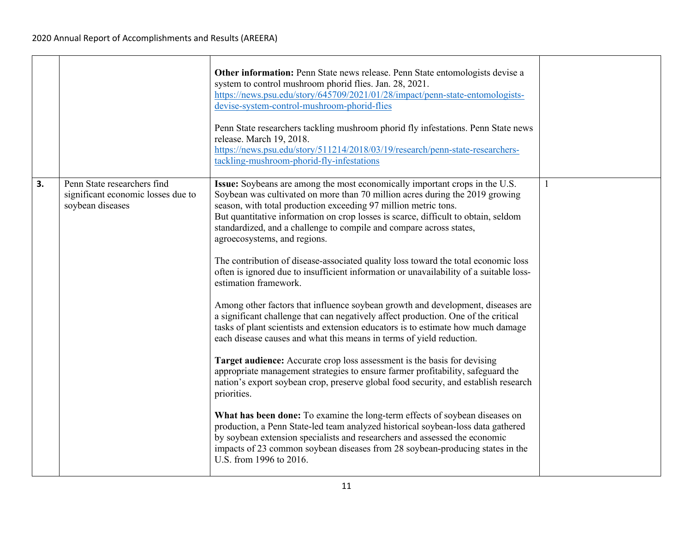|    |                                                                                       | Other information: Penn State news release. Penn State entomologists devise a<br>system to control mushroom phorid flies. Jan. 28, 2021.<br>https://news.psu.edu/story/645709/2021/01/28/impact/penn-state-entomologists-<br>devise-system-control-mushroom-phorid-flies<br>Penn State researchers tackling mushroom phorid fly infestations. Penn State news<br>release. March 19, 2018.<br>https://news.psu.edu/story/511214/2018/03/19/research/penn-state-researchers-<br>tackling-mushroom-phorid-fly-infestations                                                                                                                                                                                                                                                                                                                                                                                                                                                                                                                                                                                                                                                                                                                                                                                                                                                                                                                                                                                                                                                                                     |              |
|----|---------------------------------------------------------------------------------------|-------------------------------------------------------------------------------------------------------------------------------------------------------------------------------------------------------------------------------------------------------------------------------------------------------------------------------------------------------------------------------------------------------------------------------------------------------------------------------------------------------------------------------------------------------------------------------------------------------------------------------------------------------------------------------------------------------------------------------------------------------------------------------------------------------------------------------------------------------------------------------------------------------------------------------------------------------------------------------------------------------------------------------------------------------------------------------------------------------------------------------------------------------------------------------------------------------------------------------------------------------------------------------------------------------------------------------------------------------------------------------------------------------------------------------------------------------------------------------------------------------------------------------------------------------------------------------------------------------------|--------------|
| 3. | Penn State researchers find<br>significant economic losses due to<br>soybean diseases | Issue: Soybeans are among the most economically important crops in the U.S.<br>Soybean was cultivated on more than 70 million acres during the 2019 growing<br>season, with total production exceeding 97 million metric tons.<br>But quantitative information on crop losses is scarce, difficult to obtain, seldom<br>standardized, and a challenge to compile and compare across states,<br>agroecosystems, and regions.<br>The contribution of disease-associated quality loss toward the total economic loss<br>often is ignored due to insufficient information or unavailability of a suitable loss-<br>estimation framework.<br>Among other factors that influence soybean growth and development, diseases are<br>a significant challenge that can negatively affect production. One of the critical<br>tasks of plant scientists and extension educators is to estimate how much damage<br>each disease causes and what this means in terms of yield reduction.<br>Target audience: Accurate crop loss assessment is the basis for devising<br>appropriate management strategies to ensure farmer profitability, safeguard the<br>nation's export soybean crop, preserve global food security, and establish research<br>priorities.<br>What has been done: To examine the long-term effects of soybean diseases on<br>production, a Penn State-led team analyzed historical soybean-loss data gathered<br>by soybean extension specialists and researchers and assessed the economic<br>impacts of 23 common soybean diseases from 28 soybean-producing states in the<br>U.S. from 1996 to 2016. | $\mathbf{1}$ |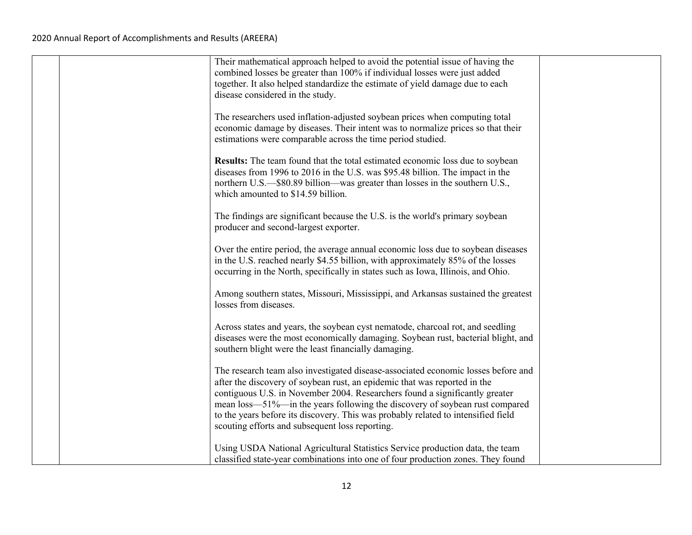|  | Their mathematical approach helped to avoid the potential issue of having the<br>combined losses be greater than 100% if individual losses were just added          |  |
|--|---------------------------------------------------------------------------------------------------------------------------------------------------------------------|--|
|  | together. It also helped standardize the estimate of yield damage due to each                                                                                       |  |
|  | disease considered in the study.                                                                                                                                    |  |
|  | The researchers used inflation-adjusted soybean prices when computing total                                                                                         |  |
|  | economic damage by diseases. Their intent was to normalize prices so that their                                                                                     |  |
|  | estimations were comparable across the time period studied.                                                                                                         |  |
|  | <b>Results:</b> The team found that the total estimated economic loss due to soybean                                                                                |  |
|  | diseases from 1996 to 2016 in the U.S. was \$95.48 billion. The impact in the                                                                                       |  |
|  | northern U.S.—\$80.89 billion—was greater than losses in the southern U.S.,<br>which amounted to \$14.59 billion.                                                   |  |
|  |                                                                                                                                                                     |  |
|  | The findings are significant because the U.S. is the world's primary soybean<br>producer and second-largest exporter.                                               |  |
|  |                                                                                                                                                                     |  |
|  | Over the entire period, the average annual economic loss due to soybean diseases<br>in the U.S. reached nearly \$4.55 billion, with approximately 85% of the losses |  |
|  | occurring in the North, specifically in states such as Iowa, Illinois, and Ohio.                                                                                    |  |
|  |                                                                                                                                                                     |  |
|  | Among southern states, Missouri, Mississippi, and Arkansas sustained the greatest<br>losses from diseases.                                                          |  |
|  |                                                                                                                                                                     |  |
|  | Across states and years, the soybean cyst nematode, charcoal rot, and seedling<br>diseases were the most economically damaging. Soybean rust, bacterial blight, and |  |
|  | southern blight were the least financially damaging.                                                                                                                |  |
|  | The research team also investigated disease-associated economic losses before and                                                                                   |  |
|  | after the discovery of soybean rust, an epidemic that was reported in the                                                                                           |  |
|  | contiguous U.S. in November 2004. Researchers found a significantly greater                                                                                         |  |
|  | mean loss—51%—in the years following the discovery of soybean rust compared<br>to the years before its discovery. This was probably related to intensified field    |  |
|  | scouting efforts and subsequent loss reporting.                                                                                                                     |  |
|  | Using USDA National Agricultural Statistics Service production data, the team                                                                                       |  |
|  | classified state-year combinations into one of four production zones. They found                                                                                    |  |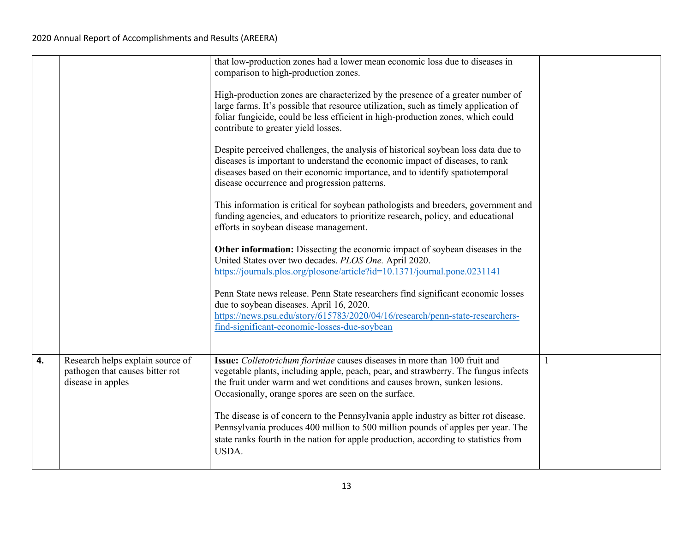|                                                                                          | that low-production zones had a lower mean economic loss due to diseases in<br>comparison to high-production zones.<br>High-production zones are characterized by the presence of a greater number of                                                                                                 |   |
|------------------------------------------------------------------------------------------|-------------------------------------------------------------------------------------------------------------------------------------------------------------------------------------------------------------------------------------------------------------------------------------------------------|---|
|                                                                                          | large farms. It's possible that resource utilization, such as timely application of<br>foliar fungicide, could be less efficient in high-production zones, which could<br>contribute to greater yield losses.                                                                                         |   |
|                                                                                          | Despite perceived challenges, the analysis of historical soybean loss data due to<br>diseases is important to understand the economic impact of diseases, to rank<br>diseases based on their economic importance, and to identify spatiotemporal<br>disease occurrence and progression patterns.      |   |
|                                                                                          | This information is critical for soybean pathologists and breeders, government and<br>funding agencies, and educators to prioritize research, policy, and educational<br>efforts in soybean disease management.                                                                                       |   |
|                                                                                          | Other information: Dissecting the economic impact of soybean diseases in the<br>United States over two decades. PLOS One. April 2020.<br>https://journals.plos.org/plosone/article?id=10.1371/journal.pone.0231141                                                                                    |   |
|                                                                                          | Penn State news release. Penn State researchers find significant economic losses<br>due to soybean diseases. April 16, 2020.<br>https://news.psu.edu/story/615783/2020/04/16/research/penn-state-researchers-<br>find-significant-economic-losses-due-soybean                                         |   |
| Research helps explain source of<br>pathogen that causes bitter rot<br>disease in apples | Issue: Colletotrichum fioriniae causes diseases in more than 100 fruit and<br>vegetable plants, including apple, peach, pear, and strawberry. The fungus infects<br>the fruit under warm and wet conditions and causes brown, sunken lesions.<br>Occasionally, orange spores are seen on the surface. | 1 |
|                                                                                          | The disease is of concern to the Pennsylvania apple industry as bitter rot disease.<br>Pennsylvania produces 400 million to 500 million pounds of apples per year. The<br>state ranks fourth in the nation for apple production, according to statistics from<br>USDA.                                |   |
|                                                                                          |                                                                                                                                                                                                                                                                                                       |   |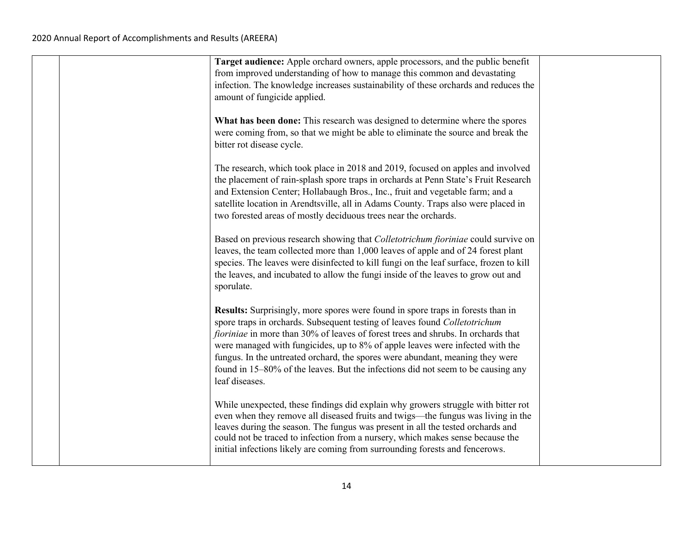|  | Target audience: Apple orchard owners, apple processors, and the public benefit<br>from improved understanding of how to manage this common and devastating                                                                                                                                                                                                                                                                                                                                                                |  |
|--|----------------------------------------------------------------------------------------------------------------------------------------------------------------------------------------------------------------------------------------------------------------------------------------------------------------------------------------------------------------------------------------------------------------------------------------------------------------------------------------------------------------------------|--|
|  | infection. The knowledge increases sustainability of these orchards and reduces the<br>amount of fungicide applied.                                                                                                                                                                                                                                                                                                                                                                                                        |  |
|  | What has been done: This research was designed to determine where the spores<br>were coming from, so that we might be able to eliminate the source and break the<br>bitter rot disease cycle.                                                                                                                                                                                                                                                                                                                              |  |
|  | The research, which took place in 2018 and 2019, focused on apples and involved<br>the placement of rain-splash spore traps in orchards at Penn State's Fruit Research<br>and Extension Center; Hollabaugh Bros., Inc., fruit and vegetable farm; and a<br>satellite location in Arendtsville, all in Adams County. Traps also were placed in<br>two forested areas of mostly deciduous trees near the orchards.                                                                                                           |  |
|  | Based on previous research showing that Colletotrichum fioriniae could survive on<br>leaves, the team collected more than 1,000 leaves of apple and of 24 forest plant<br>species. The leaves were disinfected to kill fungi on the leaf surface, frozen to kill<br>the leaves, and incubated to allow the fungi inside of the leaves to grow out and<br>sporulate.                                                                                                                                                        |  |
|  | Results: Surprisingly, more spores were found in spore traps in forests than in<br>spore traps in orchards. Subsequent testing of leaves found Colletotrichum<br>fioriniae in more than 30% of leaves of forest trees and shrubs. In orchards that<br>were managed with fungicides, up to 8% of apple leaves were infected with the<br>fungus. In the untreated orchard, the spores were abundant, meaning they were<br>found in 15–80% of the leaves. But the infections did not seem to be causing any<br>leaf diseases. |  |
|  | While unexpected, these findings did explain why growers struggle with bitter rot<br>even when they remove all diseased fruits and twigs—the fungus was living in the<br>leaves during the season. The fungus was present in all the tested orchards and<br>could not be traced to infection from a nursery, which makes sense because the<br>initial infections likely are coming from surrounding forests and fencerows.                                                                                                 |  |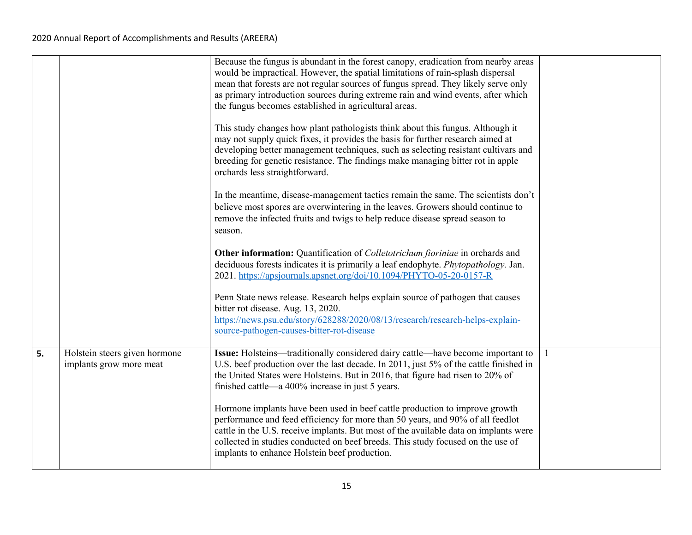|    |                                                          | Because the fungus is abundant in the forest canopy, eradication from nearby areas<br>would be impractical. However, the spatial limitations of rain-splash dispersal<br>mean that forests are not regular sources of fungus spread. They likely serve only<br>as primary introduction sources during extreme rain and wind events, after which<br>the fungus becomes established in agricultural areas. |  |
|----|----------------------------------------------------------|----------------------------------------------------------------------------------------------------------------------------------------------------------------------------------------------------------------------------------------------------------------------------------------------------------------------------------------------------------------------------------------------------------|--|
|    |                                                          | This study changes how plant pathologists think about this fungus. Although it<br>may not supply quick fixes, it provides the basis for further research aimed at<br>developing better management techniques, such as selecting resistant cultivars and<br>breeding for genetic resistance. The findings make managing bitter rot in apple<br>orchards less straightforward.                             |  |
|    |                                                          | In the meantime, disease-management tactics remain the same. The scientists don't<br>believe most spores are overwintering in the leaves. Growers should continue to<br>remove the infected fruits and twigs to help reduce disease spread season to<br>season.                                                                                                                                          |  |
|    |                                                          | Other information: Quantification of Colletotrichum fioriniae in orchards and<br>deciduous forests indicates it is primarily a leaf endophyte. Phytopathology. Jan.<br>2021. https://apsjournals.apsnet.org/doi/10.1094/PHYTO-05-20-0157-R                                                                                                                                                               |  |
|    |                                                          | Penn State news release. Research helps explain source of pathogen that causes<br>bitter rot disease. Aug. 13, 2020.<br>https://news.psu.edu/story/628288/2020/08/13/research/research-helps-explain-<br>source-pathogen-causes-bitter-rot-disease                                                                                                                                                       |  |
| 5. | Holstein steers given hormone<br>implants grow more meat | Issue: Holsteins—traditionally considered dairy cattle—have become important to<br>U.S. beef production over the last decade. In 2011, just 5% of the cattle finished in<br>the United States were Holsteins. But in 2016, that figure had risen to 20% of<br>finished cattle—a 400% increase in just 5 years.                                                                                           |  |
|    |                                                          | Hormone implants have been used in beef cattle production to improve growth<br>performance and feed efficiency for more than 50 years, and 90% of all feedlot<br>cattle in the U.S. receive implants. But most of the available data on implants were<br>collected in studies conducted on beef breeds. This study focused on the use of<br>implants to enhance Holstein beef production.                |  |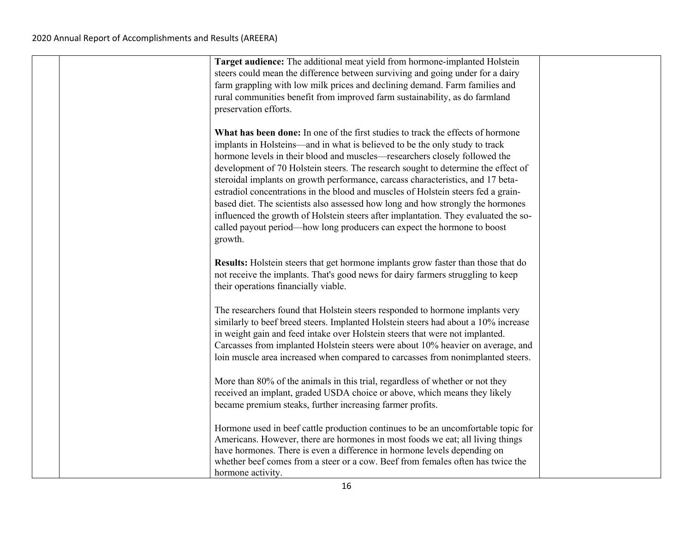| Target audience: The additional meat yield from hormone-implanted Holstein<br>steers could mean the difference between surviving and going under for a dairy<br>farm grappling with low milk prices and declining demand. Farm families and<br>rural communities benefit from improved farm sustainability, as do farmland                                                                                                                                                                                                                                                                                            |
|-----------------------------------------------------------------------------------------------------------------------------------------------------------------------------------------------------------------------------------------------------------------------------------------------------------------------------------------------------------------------------------------------------------------------------------------------------------------------------------------------------------------------------------------------------------------------------------------------------------------------|
| preservation efforts.<br>What has been done: In one of the first studies to track the effects of hormone<br>implants in Holsteins—and in what is believed to be the only study to track<br>hormone levels in their blood and muscles—researchers closely followed the<br>development of 70 Holstein steers. The research sought to determine the effect of<br>steroidal implants on growth performance, carcass characteristics, and 17 beta-<br>estradiol concentrations in the blood and muscles of Holstein steers fed a grain-<br>based diet. The scientists also assessed how long and how strongly the hormones |
| influenced the growth of Holstein steers after implantation. They evaluated the so-<br>called payout period—how long producers can expect the hormone to boost<br>growth.<br>Results: Holstein steers that get hormone implants grow faster than those that do                                                                                                                                                                                                                                                                                                                                                        |
| not receive the implants. That's good news for dairy farmers struggling to keep<br>their operations financially viable.<br>The researchers found that Holstein steers responded to hormone implants very                                                                                                                                                                                                                                                                                                                                                                                                              |
| similarly to beef breed steers. Implanted Holstein steers had about a 10% increase<br>in weight gain and feed intake over Holstein steers that were not implanted.<br>Carcasses from implanted Holstein steers were about 10% heavier on average, and<br>loin muscle area increased when compared to carcasses from nonimplanted steers.                                                                                                                                                                                                                                                                              |
| More than 80% of the animals in this trial, regardless of whether or not they<br>received an implant, graded USDA choice or above, which means they likely<br>became premium steaks, further increasing farmer profits.                                                                                                                                                                                                                                                                                                                                                                                               |
| Hormone used in beef cattle production continues to be an uncomfortable topic for<br>Americans. However, there are hormones in most foods we eat; all living things<br>have hormones. There is even a difference in hormone levels depending on<br>whether beef comes from a steer or a cow. Beef from females often has twice the<br>hormone activity.                                                                                                                                                                                                                                                               |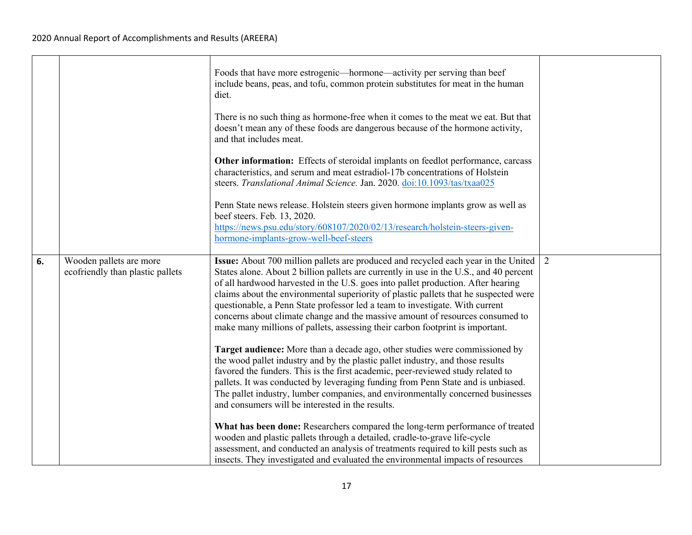|    |                                                             | Foods that have more estrogenic—hormone—activity per serving than beef<br>include beans, peas, and tofu, common protein substitutes for meat in the human<br>diet.<br>There is no such thing as hormone-free when it comes to the meat we eat. But that<br>doesn't mean any of these foods are dangerous because of the hormone activity,<br>and that includes meat.<br>Other information: Effects of steroidal implants on feedlot performance, carcass<br>characteristics, and serum and meat estradiol-17b concentrations of Holstein                                                                                                                                                                                                                                                                                                                                                                                                           |   |
|----|-------------------------------------------------------------|----------------------------------------------------------------------------------------------------------------------------------------------------------------------------------------------------------------------------------------------------------------------------------------------------------------------------------------------------------------------------------------------------------------------------------------------------------------------------------------------------------------------------------------------------------------------------------------------------------------------------------------------------------------------------------------------------------------------------------------------------------------------------------------------------------------------------------------------------------------------------------------------------------------------------------------------------|---|
|    |                                                             | steers. Translational Animal Science. Jan. 2020. doi:10.1093/tas/txaa025<br>Penn State news release. Holstein steers given hormone implants grow as well as<br>beef steers. Feb. 13, 2020.<br>https://news.psu.edu/story/608107/2020/02/13/research/holstein-steers-given-<br>hormone-implants-grow-well-beef-steers                                                                                                                                                                                                                                                                                                                                                                                                                                                                                                                                                                                                                               |   |
| 6. | Wooden pallets are more<br>ecofriendly than plastic pallets | Issue: About 700 million pallets are produced and recycled each year in the United<br>States alone. About 2 billion pallets are currently in use in the U.S., and 40 percent<br>of all hardwood harvested in the U.S. goes into pallet production. After hearing<br>claims about the environmental superiority of plastic pallets that he suspected were<br>questionable, a Penn State professor led a team to investigate. With current<br>concerns about climate change and the massive amount of resources consumed to<br>make many millions of pallets, assessing their carbon footprint is important.<br>Target audience: More than a decade ago, other studies were commissioned by<br>the wood pallet industry and by the plastic pallet industry, and those results<br>favored the funders. This is the first academic, peer-reviewed study related to<br>pallets. It was conducted by leveraging funding from Penn State and is unbiased. | 2 |
|    |                                                             | The pallet industry, lumber companies, and environmentally concerned businesses<br>and consumers will be interested in the results.<br>What has been done: Researchers compared the long-term performance of treated<br>wooden and plastic pallets through a detailed, cradle-to-grave life-cycle<br>assessment, and conducted an analysis of treatments required to kill pests such as<br>insects. They investigated and evaluated the environmental impacts of resources                                                                                                                                                                                                                                                                                                                                                                                                                                                                         |   |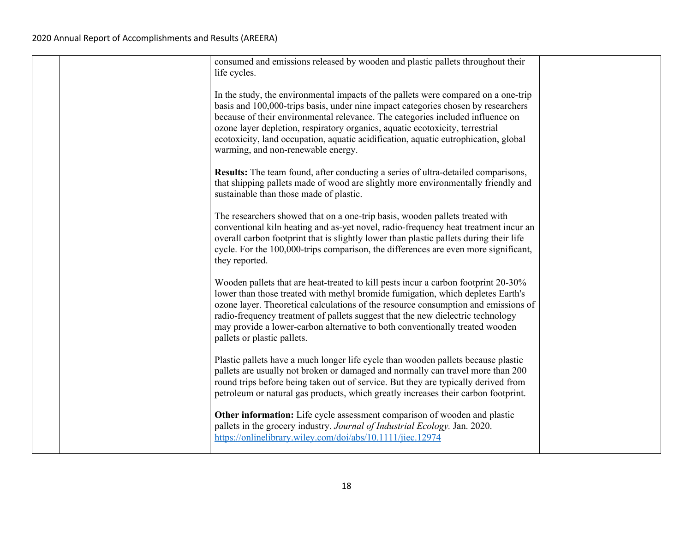|  | consumed and emissions released by wooden and plastic pallets throughout their<br>life cycles.                                                                                                                                                                                                                                                                                                                                                                          |  |
|--|-------------------------------------------------------------------------------------------------------------------------------------------------------------------------------------------------------------------------------------------------------------------------------------------------------------------------------------------------------------------------------------------------------------------------------------------------------------------------|--|
|  | In the study, the environmental impacts of the pallets were compared on a one-trip<br>basis and 100,000-trips basis, under nine impact categories chosen by researchers<br>because of their environmental relevance. The categories included influence on<br>ozone layer depletion, respiratory organics, aquatic ecotoxicity, terrestrial<br>ecotoxicity, land occupation, aquatic acidification, aquatic eutrophication, global<br>warming, and non-renewable energy. |  |
|  | Results: The team found, after conducting a series of ultra-detailed comparisons,<br>that shipping pallets made of wood are slightly more environmentally friendly and<br>sustainable than those made of plastic.                                                                                                                                                                                                                                                       |  |
|  | The researchers showed that on a one-trip basis, wooden pallets treated with<br>conventional kiln heating and as-yet novel, radio-frequency heat treatment incur an<br>overall carbon footprint that is slightly lower than plastic pallets during their life<br>cycle. For the 100,000-trips comparison, the differences are even more significant,<br>they reported.                                                                                                  |  |
|  | Wooden pallets that are heat-treated to kill pests incur a carbon footprint 20-30%<br>lower than those treated with methyl bromide fumigation, which depletes Earth's<br>ozone layer. Theoretical calculations of the resource consumption and emissions of<br>radio-frequency treatment of pallets suggest that the new dielectric technology<br>may provide a lower-carbon alternative to both conventionally treated wooden<br>pallets or plastic pallets.           |  |
|  | Plastic pallets have a much longer life cycle than wooden pallets because plastic<br>pallets are usually not broken or damaged and normally can travel more than 200<br>round trips before being taken out of service. But they are typically derived from<br>petroleum or natural gas products, which greatly increases their carbon footprint.                                                                                                                        |  |
|  | Other information: Life cycle assessment comparison of wooden and plastic<br>pallets in the grocery industry. Journal of Industrial Ecology. Jan. 2020.<br>https://onlinelibrary.wiley.com/doi/abs/10.1111/jiec.12974                                                                                                                                                                                                                                                   |  |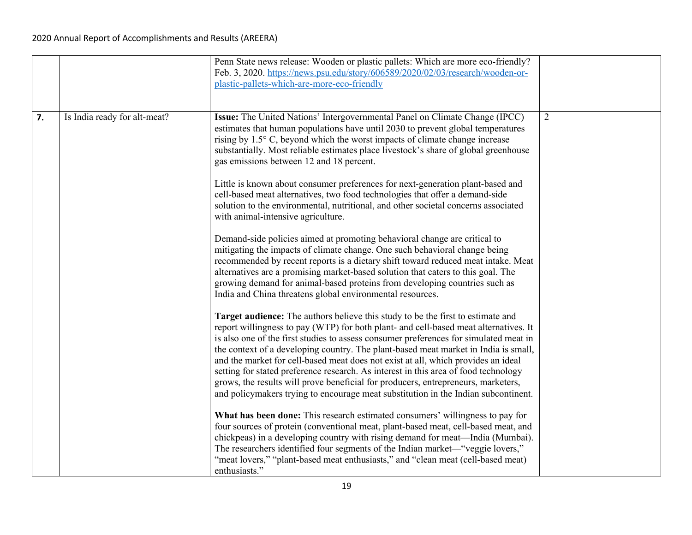|    |                              | Penn State news release: Wooden or plastic pallets: Which are more eco-friendly?<br>Feb. 3, 2020. https://news.psu.edu/story/606589/2020/02/03/research/wooden-or-<br>plastic-pallets-which-are-more-eco-friendly                                                                                                                                                                                                                                                                                                                                                                                                                                                                                              |   |
|----|------------------------------|----------------------------------------------------------------------------------------------------------------------------------------------------------------------------------------------------------------------------------------------------------------------------------------------------------------------------------------------------------------------------------------------------------------------------------------------------------------------------------------------------------------------------------------------------------------------------------------------------------------------------------------------------------------------------------------------------------------|---|
| 7. | Is India ready for alt-meat? | Issue: The United Nations' Intergovernmental Panel on Climate Change (IPCC)<br>estimates that human populations have until 2030 to prevent global temperatures<br>rising by 1.5° C, beyond which the worst impacts of climate change increase<br>substantially. Most reliable estimates place livestock's share of global greenhouse<br>gas emissions between 12 and 18 percent.                                                                                                                                                                                                                                                                                                                               | 2 |
|    |                              | Little is known about consumer preferences for next-generation plant-based and<br>cell-based meat alternatives, two food technologies that offer a demand-side<br>solution to the environmental, nutritional, and other societal concerns associated<br>with animal-intensive agriculture.                                                                                                                                                                                                                                                                                                                                                                                                                     |   |
|    |                              | Demand-side policies aimed at promoting behavioral change are critical to<br>mitigating the impacts of climate change. One such behavioral change being<br>recommended by recent reports is a dietary shift toward reduced meat intake. Meat<br>alternatives are a promising market-based solution that caters to this goal. The<br>growing demand for animal-based proteins from developing countries such as<br>India and China threatens global environmental resources.                                                                                                                                                                                                                                    |   |
|    |                              | Target audience: The authors believe this study to be the first to estimate and<br>report willingness to pay (WTP) for both plant- and cell-based meat alternatives. It<br>is also one of the first studies to assess consumer preferences for simulated meat in<br>the context of a developing country. The plant-based meat market in India is small,<br>and the market for cell-based meat does not exist at all, which provides an ideal<br>setting for stated preference research. As interest in this area of food technology<br>grows, the results will prove beneficial for producers, entrepreneurs, marketers,<br>and policymakers trying to encourage meat substitution in the Indian subcontinent. |   |
|    |                              | What has been done: This research estimated consumers' willingness to pay for<br>four sources of protein (conventional meat, plant-based meat, cell-based meat, and<br>chickpeas) in a developing country with rising demand for meat—India (Mumbai).<br>The researchers identified four segments of the Indian market—"veggie lovers,"<br>"meat lovers," "plant-based meat enthusiasts," and "clean meat (cell-based meat)<br>enthusiasts."                                                                                                                                                                                                                                                                   |   |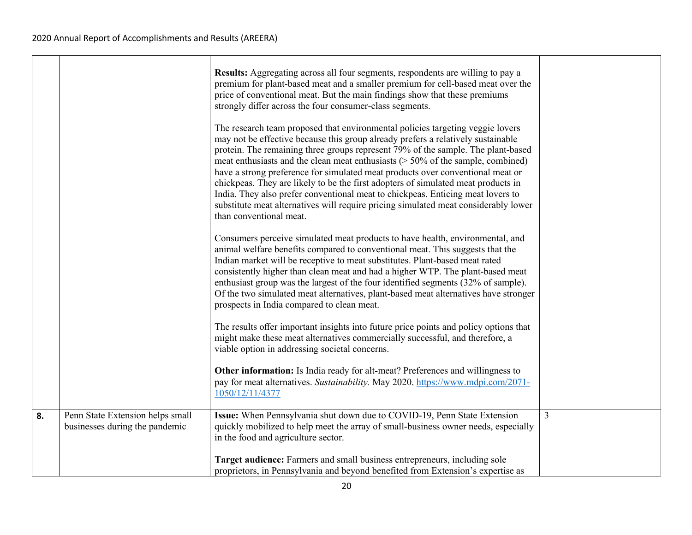|    |                                                                    | Results: Aggregating across all four segments, respondents are willing to pay a<br>premium for plant-based meat and a smaller premium for cell-based meat over the<br>price of conventional meat. But the main findings show that these premiums<br>strongly differ across the four consumer-class segments.<br>The research team proposed that environmental policies targeting veggie lovers<br>may not be effective because this group already prefers a relatively sustainable<br>protein. The remaining three groups represent 79% of the sample. The plant-based<br>meat enthusiasts and the clean meat enthusiasts $($ > 50% of the sample, combined)<br>have a strong preference for simulated meat products over conventional meat or<br>chickpeas. They are likely to be the first adopters of simulated meat products in<br>India. They also prefer conventional meat to chickpeas. Enticing meat lovers to<br>substitute meat alternatives will require pricing simulated meat considerably lower<br>than conventional meat.<br>Consumers perceive simulated meat products to have health, environmental, and<br>animal welfare benefits compared to conventional meat. This suggests that the<br>Indian market will be receptive to meat substitutes. Plant-based meat rated<br>consistently higher than clean meat and had a higher WTP. The plant-based meat<br>enthusiast group was the largest of the four identified segments (32% of sample).<br>Of the two simulated meat alternatives, plant-based meat alternatives have stronger |                |
|----|--------------------------------------------------------------------|---------------------------------------------------------------------------------------------------------------------------------------------------------------------------------------------------------------------------------------------------------------------------------------------------------------------------------------------------------------------------------------------------------------------------------------------------------------------------------------------------------------------------------------------------------------------------------------------------------------------------------------------------------------------------------------------------------------------------------------------------------------------------------------------------------------------------------------------------------------------------------------------------------------------------------------------------------------------------------------------------------------------------------------------------------------------------------------------------------------------------------------------------------------------------------------------------------------------------------------------------------------------------------------------------------------------------------------------------------------------------------------------------------------------------------------------------------------------------------------------------------------------------------------------------------|----------------|
|    |                                                                    | prospects in India compared to clean meat.<br>The results offer important insights into future price points and policy options that<br>might make these meat alternatives commercially successful, and therefore, a<br>viable option in addressing societal concerns.                                                                                                                                                                                                                                                                                                                                                                                                                                                                                                                                                                                                                                                                                                                                                                                                                                                                                                                                                                                                                                                                                                                                                                                                                                                                                   |                |
|    |                                                                    | Other information: Is India ready for alt-meat? Preferences and willingness to<br>pay for meat alternatives. Sustainability. May 2020. https://www.mdpi.com/2071-<br>1050/12/11/4377                                                                                                                                                                                                                                                                                                                                                                                                                                                                                                                                                                                                                                                                                                                                                                                                                                                                                                                                                                                                                                                                                                                                                                                                                                                                                                                                                                    |                |
| 8. | Penn State Extension helps small<br>businesses during the pandemic | Issue: When Pennsylvania shut down due to COVID-19, Penn State Extension<br>quickly mobilized to help meet the array of small-business owner needs, especially<br>in the food and agriculture sector.                                                                                                                                                                                                                                                                                                                                                                                                                                                                                                                                                                                                                                                                                                                                                                                                                                                                                                                                                                                                                                                                                                                                                                                                                                                                                                                                                   | $\overline{3}$ |
|    |                                                                    | Target audience: Farmers and small business entrepreneurs, including sole<br>proprietors, in Pennsylvania and beyond benefited from Extension's expertise as                                                                                                                                                                                                                                                                                                                                                                                                                                                                                                                                                                                                                                                                                                                                                                                                                                                                                                                                                                                                                                                                                                                                                                                                                                                                                                                                                                                            |                |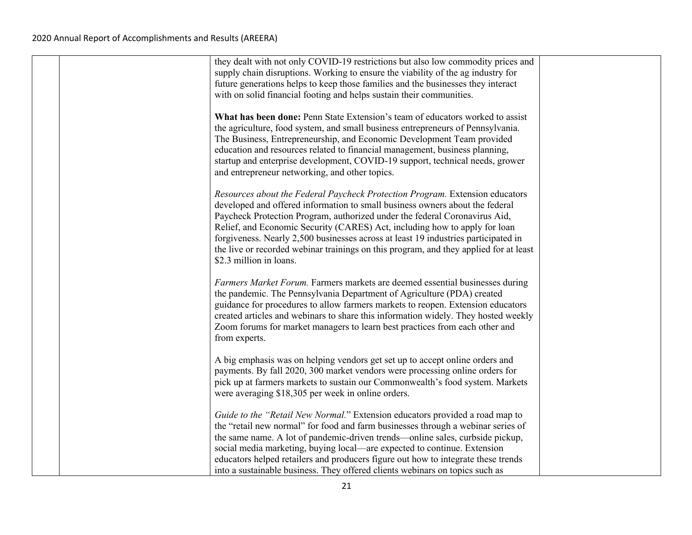|  | they dealt with not only COVID-19 restrictions but also low commodity prices and<br>supply chain disruptions. Working to ensure the viability of the ag industry for<br>future generations helps to keep those families and the businesses they interact<br>with on solid financial footing and helps sustain their communities.                                                                                                                                                                                                   |  |
|--|------------------------------------------------------------------------------------------------------------------------------------------------------------------------------------------------------------------------------------------------------------------------------------------------------------------------------------------------------------------------------------------------------------------------------------------------------------------------------------------------------------------------------------|--|
|  | What has been done: Penn State Extension's team of educators worked to assist<br>the agriculture, food system, and small business entrepreneurs of Pennsylvania.<br>The Business, Entrepreneurship, and Economic Development Team provided<br>education and resources related to financial management, business planning,<br>startup and enterprise development, COVID-19 support, technical needs, grower<br>and entrepreneur networking, and other topics.                                                                       |  |
|  | Resources about the Federal Paycheck Protection Program. Extension educators<br>developed and offered information to small business owners about the federal<br>Paycheck Protection Program, authorized under the federal Coronavirus Aid,<br>Relief, and Economic Security (CARES) Act, including how to apply for loan<br>forgiveness. Nearly 2,500 businesses across at least 19 industries participated in<br>the live or recorded webinar trainings on this program, and they applied for at least<br>\$2.3 million in loans. |  |
|  | Farmers Market Forum. Farmers markets are deemed essential businesses during<br>the pandemic. The Pennsylvania Department of Agriculture (PDA) created<br>guidance for procedures to allow farmers markets to reopen. Extension educators<br>created articles and webinars to share this information widely. They hosted weekly<br>Zoom forums for market managers to learn best practices from each other and<br>from experts.                                                                                                    |  |
|  | A big emphasis was on helping vendors get set up to accept online orders and<br>payments. By fall 2020, 300 market vendors were processing online orders for<br>pick up at farmers markets to sustain our Commonwealth's food system. Markets<br>were averaging \$18,305 per week in online orders.                                                                                                                                                                                                                                |  |
|  | Guide to the "Retail New Normal." Extension educators provided a road map to<br>the "retail new normal" for food and farm businesses through a webinar series of<br>the same name. A lot of pandemic-driven trends—online sales, curbside pickup,<br>social media marketing, buying local—are expected to continue. Extension<br>educators helped retailers and producers figure out how to integrate these trends<br>into a sustainable business. They offered clients webinars on topics such as                                 |  |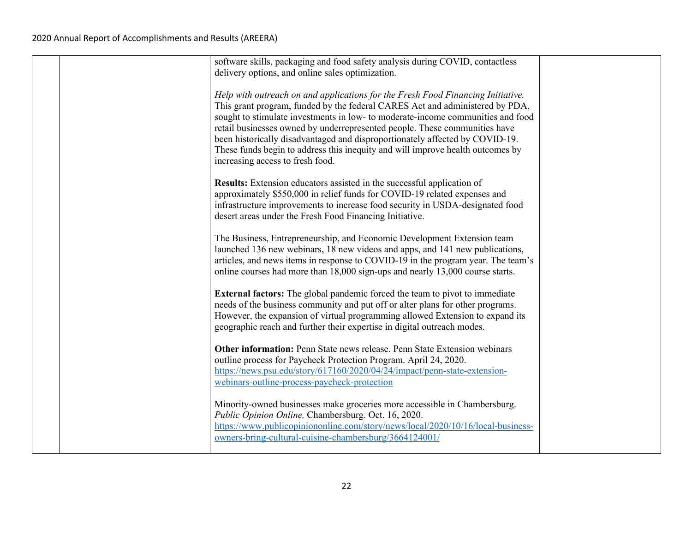|  | software skills, packaging and food safety analysis during COVID, contactless<br>delivery options, and online sales optimization.                                                                                                                                                                                                                                                                                                                                                                                                      |  |
|--|----------------------------------------------------------------------------------------------------------------------------------------------------------------------------------------------------------------------------------------------------------------------------------------------------------------------------------------------------------------------------------------------------------------------------------------------------------------------------------------------------------------------------------------|--|
|  | Help with outreach on and applications for the Fresh Food Financing Initiative.<br>This grant program, funded by the federal CARES Act and administered by PDA,<br>sought to stimulate investments in low- to moderate-income communities and food<br>retail businesses owned by underrepresented people. These communities have<br>been historically disadvantaged and disproportionately affected by COVID-19.<br>These funds begin to address this inequity and will improve health outcomes by<br>increasing access to fresh food. |  |
|  | Results: Extension educators assisted in the successful application of<br>approximately \$550,000 in relief funds for COVID-19 related expenses and<br>infrastructure improvements to increase food security in USDA-designated food<br>desert areas under the Fresh Food Financing Initiative.                                                                                                                                                                                                                                        |  |
|  | The Business, Entrepreneurship, and Economic Development Extension team<br>launched 136 new webinars, 18 new videos and apps, and 141 new publications,<br>articles, and news items in response to COVID-19 in the program year. The team's<br>online courses had more than 18,000 sign-ups and nearly 13,000 course starts.                                                                                                                                                                                                           |  |
|  | <b>External factors:</b> The global pandemic forced the team to pivot to immediate<br>needs of the business community and put off or alter plans for other programs.<br>However, the expansion of virtual programming allowed Extension to expand its<br>geographic reach and further their expertise in digital outreach modes.                                                                                                                                                                                                       |  |
|  | Other information: Penn State news release. Penn State Extension webinars<br>outline process for Paycheck Protection Program. April 24, 2020.<br>https://news.psu.edu/story/617160/2020/04/24/impact/penn-state-extension-<br>webinars-outline-process-paycheck-protection                                                                                                                                                                                                                                                             |  |
|  | Minority-owned businesses make groceries more accessible in Chambersburg.<br>Public Opinion Online, Chambersburg. Oct. 16, 2020.<br>https://www.publicopiniononline.com/story/news/local/2020/10/16/local-business-<br>owners-bring-cultural-cuisine-chambersburg/3664124001/                                                                                                                                                                                                                                                          |  |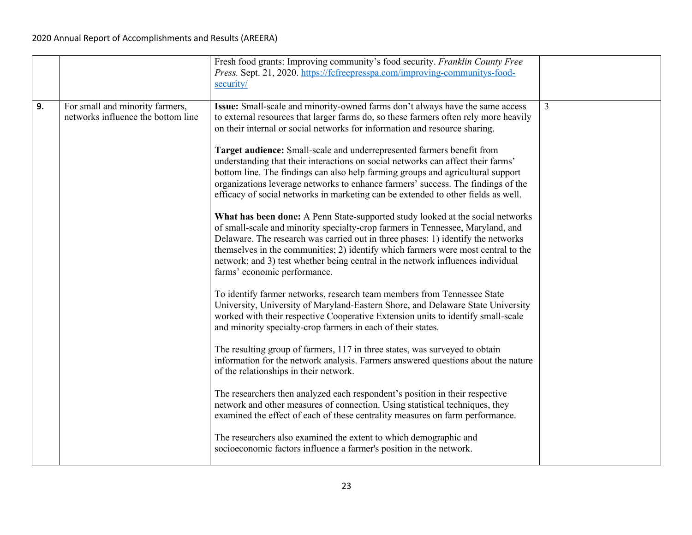|    |                                                                       | Fresh food grants: Improving community's food security. Franklin County Free<br>Press. Sept. 21, 2020. https://fcfreepresspa.com/improving-communitys-food-<br>security/                                                                                                                                                                                                                                                                                                                                                                                                                                                                                                                                                                                                                                                                                                                                                                                                                                                                                                                                                                                                                                                                                                                                                                                                                                                                                                                                                                                                                                                                                                                                                                                                                                                                                                                                                                                                                                                                                                   |                |
|----|-----------------------------------------------------------------------|----------------------------------------------------------------------------------------------------------------------------------------------------------------------------------------------------------------------------------------------------------------------------------------------------------------------------------------------------------------------------------------------------------------------------------------------------------------------------------------------------------------------------------------------------------------------------------------------------------------------------------------------------------------------------------------------------------------------------------------------------------------------------------------------------------------------------------------------------------------------------------------------------------------------------------------------------------------------------------------------------------------------------------------------------------------------------------------------------------------------------------------------------------------------------------------------------------------------------------------------------------------------------------------------------------------------------------------------------------------------------------------------------------------------------------------------------------------------------------------------------------------------------------------------------------------------------------------------------------------------------------------------------------------------------------------------------------------------------------------------------------------------------------------------------------------------------------------------------------------------------------------------------------------------------------------------------------------------------------------------------------------------------------------------------------------------------|----------------|
| 9. | For small and minority farmers,<br>networks influence the bottom line | Issue: Small-scale and minority-owned farms don't always have the same access<br>to external resources that larger farms do, so these farmers often rely more heavily<br>on their internal or social networks for information and resource sharing.<br>Target audience: Small-scale and underrepresented farmers benefit from<br>understanding that their interactions on social networks can affect their farms'<br>bottom line. The findings can also help farming groups and agricultural support<br>organizations leverage networks to enhance farmers' success. The findings of the<br>efficacy of social networks in marketing can be extended to other fields as well.<br>What has been done: A Penn State-supported study looked at the social networks<br>of small-scale and minority specialty-crop farmers in Tennessee, Maryland, and<br>Delaware. The research was carried out in three phases: 1) identify the networks<br>themselves in the communities; 2) identify which farmers were most central to the<br>network; and 3) test whether being central in the network influences individual<br>farms' economic performance.<br>To identify farmer networks, research team members from Tennessee State<br>University, University of Maryland-Eastern Shore, and Delaware State University<br>worked with their respective Cooperative Extension units to identify small-scale<br>and minority specialty-crop farmers in each of their states.<br>The resulting group of farmers, 117 in three states, was surveyed to obtain<br>information for the network analysis. Farmers answered questions about the nature<br>of the relationships in their network.<br>The researchers then analyzed each respondent's position in their respective<br>network and other measures of connection. Using statistical techniques, they<br>examined the effect of each of these centrality measures on farm performance.<br>The researchers also examined the extent to which demographic and<br>socioeconomic factors influence a farmer's position in the network. | $\overline{3}$ |
|    |                                                                       |                                                                                                                                                                                                                                                                                                                                                                                                                                                                                                                                                                                                                                                                                                                                                                                                                                                                                                                                                                                                                                                                                                                                                                                                                                                                                                                                                                                                                                                                                                                                                                                                                                                                                                                                                                                                                                                                                                                                                                                                                                                                            |                |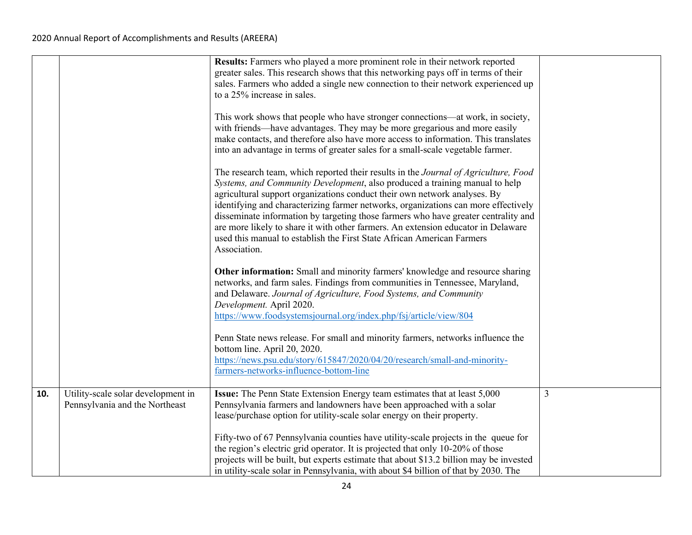|     |                                                                      | Results: Farmers who played a more prominent role in their network reported<br>greater sales. This research shows that this networking pays off in terms of their<br>sales. Farmers who added a single new connection to their network experienced up<br>to a 25% increase in sales.<br>This work shows that people who have stronger connections—at work, in society,<br>with friends—have advantages. They may be more gregarious and more easily<br>make contacts, and therefore also have more access to information. This translates<br>into an advantage in terms of greater sales for a small-scale vegetable farmer.<br>The research team, which reported their results in the Journal of Agriculture, Food<br>Systems, and Community Development, also produced a training manual to help<br>agricultural support organizations conduct their own network analyses. By<br>identifying and characterizing farmer networks, organizations can more effectively<br>disseminate information by targeting those farmers who have greater centrality and<br>are more likely to share it with other farmers. An extension educator in Delaware<br>used this manual to establish the First State African American Farmers<br>Association.<br>Other information: Small and minority farmers' knowledge and resource sharing<br>networks, and farm sales. Findings from communities in Tennessee, Maryland,<br>and Delaware. Journal of Agriculture, Food Systems, and Community<br>Development. April 2020.<br>https://www.foodsystemsjournal.org/index.php/fsj/article/view/804<br>Penn State news release. For small and minority farmers, networks influence the<br>bottom line. April 20, 2020.<br>https://news.psu.edu/story/615847/2020/04/20/research/small-and-minority-<br>farmers-networks-influence-bottom-line |   |
|-----|----------------------------------------------------------------------|----------------------------------------------------------------------------------------------------------------------------------------------------------------------------------------------------------------------------------------------------------------------------------------------------------------------------------------------------------------------------------------------------------------------------------------------------------------------------------------------------------------------------------------------------------------------------------------------------------------------------------------------------------------------------------------------------------------------------------------------------------------------------------------------------------------------------------------------------------------------------------------------------------------------------------------------------------------------------------------------------------------------------------------------------------------------------------------------------------------------------------------------------------------------------------------------------------------------------------------------------------------------------------------------------------------------------------------------------------------------------------------------------------------------------------------------------------------------------------------------------------------------------------------------------------------------------------------------------------------------------------------------------------------------------------------------------------------------------------------------------------------------------------------------------------------------------|---|
| 10. | Utility-scale solar development in<br>Pennsylvania and the Northeast | Issue: The Penn State Extension Energy team estimates that at least 5,000<br>Pennsylvania farmers and landowners have been approached with a solar<br>lease/purchase option for utility-scale solar energy on their property.<br>Fifty-two of 67 Pennsylvania counties have utility-scale projects in the queue for<br>the region's electric grid operator. It is projected that only 10-20% of those<br>projects will be built, but experts estimate that about \$13.2 billion may be invested<br>in utility-scale solar in Pennsylvania, with about \$4 billion of that by 2030. The                                                                                                                                                                                                                                                                                                                                                                                                                                                                                                                                                                                                                                                                                                                                                                                                                                                                                                                                                                                                                                                                                                                                                                                                                                     | 3 |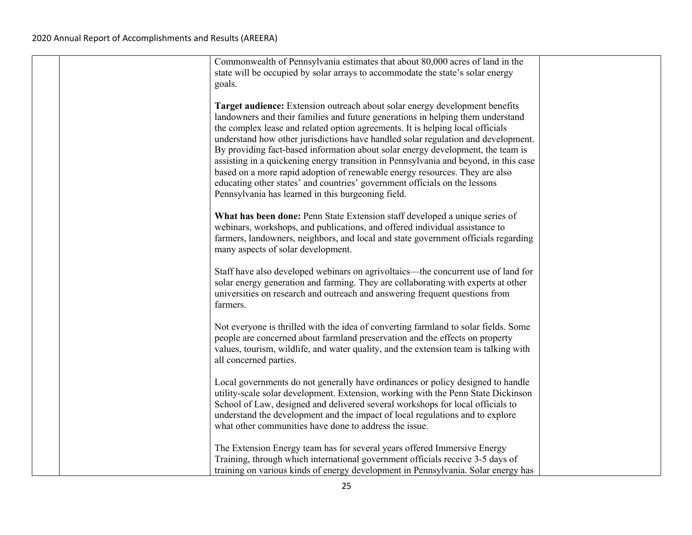|  | Commonwealth of Pennsylvania estimates that about 80,000 acres of land in the<br>state will be occupied by solar arrays to accommodate the state's solar energy<br>goals.                                                                                                                                                                                                                                                                                                                                                                                                                                                                                                                                                           |  |
|--|-------------------------------------------------------------------------------------------------------------------------------------------------------------------------------------------------------------------------------------------------------------------------------------------------------------------------------------------------------------------------------------------------------------------------------------------------------------------------------------------------------------------------------------------------------------------------------------------------------------------------------------------------------------------------------------------------------------------------------------|--|
|  | Target audience: Extension outreach about solar energy development benefits<br>landowners and their families and future generations in helping them understand<br>the complex lease and related option agreements. It is helping local officials<br>understand how other jurisdictions have handled solar regulation and development.<br>By providing fact-based information about solar energy development, the team is<br>assisting in a quickening energy transition in Pennsylvania and beyond, in this case<br>based on a more rapid adoption of renewable energy resources. They are also<br>educating other states' and countries' government officials on the lessons<br>Pennsylvania has learned in this burgeoning field. |  |
|  | What has been done: Penn State Extension staff developed a unique series of<br>webinars, workshops, and publications, and offered individual assistance to<br>farmers, landowners, neighbors, and local and state government officials regarding<br>many aspects of solar development.                                                                                                                                                                                                                                                                                                                                                                                                                                              |  |
|  | Staff have also developed webinars on agrivoltaics—the concurrent use of land for<br>solar energy generation and farming. They are collaborating with experts at other<br>universities on research and outreach and answering frequent questions from<br>farmers.                                                                                                                                                                                                                                                                                                                                                                                                                                                                   |  |
|  | Not everyone is thrilled with the idea of converting farmland to solar fields. Some<br>people are concerned about farmland preservation and the effects on property<br>values, tourism, wildlife, and water quality, and the extension team is talking with<br>all concerned parties.                                                                                                                                                                                                                                                                                                                                                                                                                                               |  |
|  | Local governments do not generally have ordinances or policy designed to handle<br>utility-scale solar development. Extension, working with the Penn State Dickinson<br>School of Law, designed and delivered several workshops for local officials to<br>understand the development and the impact of local regulations and to explore<br>what other communities have done to address the issue.                                                                                                                                                                                                                                                                                                                                   |  |
|  | The Extension Energy team has for several years offered Immersive Energy<br>Training, through which international government officials receive 3-5 days of<br>training on various kinds of energy development in Pennsylvania. Solar energy has                                                                                                                                                                                                                                                                                                                                                                                                                                                                                     |  |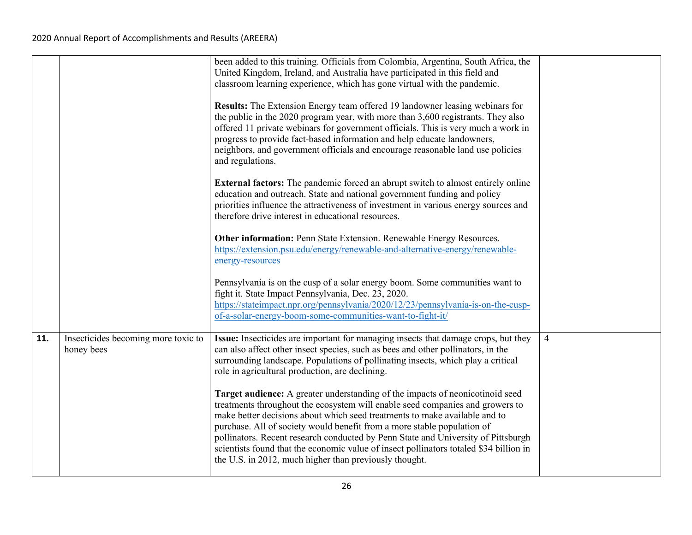|     |                                                   | been added to this training. Officials from Colombia, Argentina, South Africa, the<br>United Kingdom, Ireland, and Australia have participated in this field and<br>classroom learning experience, which has gone virtual with the pandemic.<br>Results: The Extension Energy team offered 19 landowner leasing webinars for<br>the public in the 2020 program year, with more than 3,600 registrants. They also<br>offered 11 private webinars for government officials. This is very much a work in<br>progress to provide fact-based information and help educate landowners,<br>neighbors, and government officials and encourage reasonable land use policies<br>and regulations. |                |
|-----|---------------------------------------------------|----------------------------------------------------------------------------------------------------------------------------------------------------------------------------------------------------------------------------------------------------------------------------------------------------------------------------------------------------------------------------------------------------------------------------------------------------------------------------------------------------------------------------------------------------------------------------------------------------------------------------------------------------------------------------------------|----------------|
|     |                                                   | <b>External factors:</b> The pandemic forced an abrupt switch to almost entirely online<br>education and outreach. State and national government funding and policy<br>priorities influence the attractiveness of investment in various energy sources and<br>therefore drive interest in educational resources.                                                                                                                                                                                                                                                                                                                                                                       |                |
|     |                                                   | Other information: Penn State Extension. Renewable Energy Resources.<br>https://extension.psu.edu/energy/renewable-and-alternative-energy/renewable-<br>energy-resources                                                                                                                                                                                                                                                                                                                                                                                                                                                                                                               |                |
|     |                                                   | Pennsylvania is on the cusp of a solar energy boom. Some communities want to<br>fight it. State Impact Pennsylvania, Dec. 23, 2020.<br>https://stateimpact.npr.org/pennsylvania/2020/12/23/pennsylvania-is-on-the-cusp-<br>of-a-solar-energy-boom-some-communities-want-to-fight-it/                                                                                                                                                                                                                                                                                                                                                                                                   |                |
| 11. | Insecticides becoming more toxic to<br>honey bees | Issue: Insecticides are important for managing insects that damage crops, but they<br>can also affect other insect species, such as bees and other pollinators, in the<br>surrounding landscape. Populations of pollinating insects, which play a critical<br>role in agricultural production, are declining.                                                                                                                                                                                                                                                                                                                                                                          | $\overline{4}$ |
|     |                                                   | Target audience: A greater understanding of the impacts of neonicotinoid seed<br>treatments throughout the ecosystem will enable seed companies and growers to<br>make better decisions about which seed treatments to make available and to<br>purchase. All of society would benefit from a more stable population of<br>pollinators. Recent research conducted by Penn State and University of Pittsburgh<br>scientists found that the economic value of insect pollinators totaled \$34 billion in<br>the U.S. in 2012, much higher than previously thought.                                                                                                                       |                |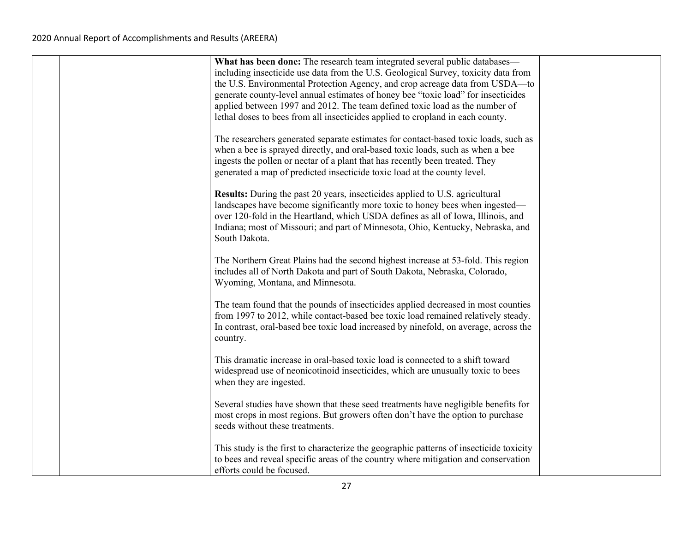|  | What has been done: The research team integrated several public databases—<br>including insecticide use data from the U.S. Geological Survey, toxicity data from<br>the U.S. Environmental Protection Agency, and crop acreage data from USDA-to<br>generate county-level annual estimates of honey bee "toxic load" for insecticides<br>applied between 1997 and 2012. The team defined toxic load as the number of |  |
|--|----------------------------------------------------------------------------------------------------------------------------------------------------------------------------------------------------------------------------------------------------------------------------------------------------------------------------------------------------------------------------------------------------------------------|--|
|  | lethal doses to bees from all insecticides applied to cropland in each county.                                                                                                                                                                                                                                                                                                                                       |  |
|  | The researchers generated separate estimates for contact-based toxic loads, such as<br>when a bee is sprayed directly, and oral-based toxic loads, such as when a bee<br>ingests the pollen or nectar of a plant that has recently been treated. They<br>generated a map of predicted insecticide toxic load at the county level.                                                                                    |  |
|  | <b>Results:</b> During the past 20 years, insecticides applied to U.S. agricultural<br>landscapes have become significantly more toxic to honey bees when ingested—<br>over 120-fold in the Heartland, which USDA defines as all of Iowa, Illinois, and<br>Indiana; most of Missouri; and part of Minnesota, Ohio, Kentucky, Nebraska, and<br>South Dakota.                                                          |  |
|  | The Northern Great Plains had the second highest increase at 53-fold. This region<br>includes all of North Dakota and part of South Dakota, Nebraska, Colorado,<br>Wyoming, Montana, and Minnesota.                                                                                                                                                                                                                  |  |
|  | The team found that the pounds of insecticides applied decreased in most counties<br>from 1997 to 2012, while contact-based bee toxic load remained relatively steady.<br>In contrast, oral-based bee toxic load increased by ninefold, on average, across the<br>country.                                                                                                                                           |  |
|  | This dramatic increase in oral-based toxic load is connected to a shift toward<br>widespread use of neonicotinoid insecticides, which are unusually toxic to bees<br>when they are ingested.                                                                                                                                                                                                                         |  |
|  | Several studies have shown that these seed treatments have negligible benefits for<br>most crops in most regions. But growers often don't have the option to purchase<br>seeds without these treatments.                                                                                                                                                                                                             |  |
|  | This study is the first to characterize the geographic patterns of insecticide toxicity<br>to bees and reveal specific areas of the country where mitigation and conservation<br>efforts could be focused.                                                                                                                                                                                                           |  |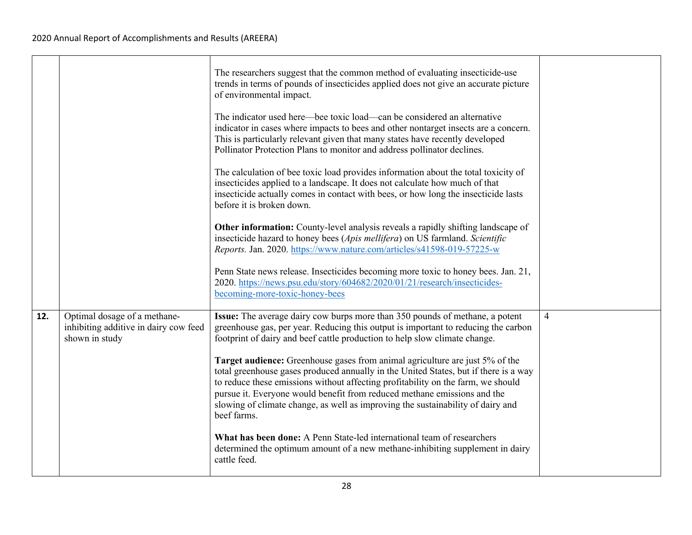|     |                                                                                         | The researchers suggest that the common method of evaluating insecticide-use<br>trends in terms of pounds of insecticides applied does not give an accurate picture<br>of environmental impact.                                                                                                                                                                                                                                        |                |
|-----|-----------------------------------------------------------------------------------------|----------------------------------------------------------------------------------------------------------------------------------------------------------------------------------------------------------------------------------------------------------------------------------------------------------------------------------------------------------------------------------------------------------------------------------------|----------------|
|     |                                                                                         | The indicator used here—bee toxic load—can be considered an alternative<br>indicator in cases where impacts to bees and other nontarget insects are a concern.<br>This is particularly relevant given that many states have recently developed<br>Pollinator Protection Plans to monitor and address pollinator declines.                                                                                                              |                |
|     |                                                                                         | The calculation of bee toxic load provides information about the total toxicity of<br>insecticides applied to a landscape. It does not calculate how much of that<br>insecticide actually comes in contact with bees, or how long the insecticide lasts<br>before it is broken down.                                                                                                                                                   |                |
|     |                                                                                         | Other information: County-level analysis reveals a rapidly shifting landscape of<br>insecticide hazard to honey bees (Apis mellifera) on US farmland. Scientific<br>Reports. Jan. 2020. https://www.nature.com/articles/s41598-019-57225-w                                                                                                                                                                                             |                |
|     |                                                                                         | Penn State news release. Insecticides becoming more toxic to honey bees. Jan. 21,<br>2020. https://news.psu.edu/story/604682/2020/01/21/research/insecticides-<br>becoming-more-toxic-honey-bees                                                                                                                                                                                                                                       |                |
| 12. | Optimal dosage of a methane-<br>inhibiting additive in dairy cow feed<br>shown in study | Issue: The average dairy cow burps more than 350 pounds of methane, a potent<br>greenhouse gas, per year. Reducing this output is important to reducing the carbon<br>footprint of dairy and beef cattle production to help slow climate change.                                                                                                                                                                                       | $\overline{4}$ |
|     |                                                                                         | Target audience: Greenhouse gases from animal agriculture are just 5% of the<br>total greenhouse gases produced annually in the United States, but if there is a way<br>to reduce these emissions without affecting profitability on the farm, we should<br>pursue it. Everyone would benefit from reduced methane emissions and the<br>slowing of climate change, as well as improving the sustainability of dairy and<br>beef farms. |                |
|     |                                                                                         | What has been done: A Penn State-led international team of researchers<br>determined the optimum amount of a new methane-inhibiting supplement in dairy<br>cattle feed.                                                                                                                                                                                                                                                                |                |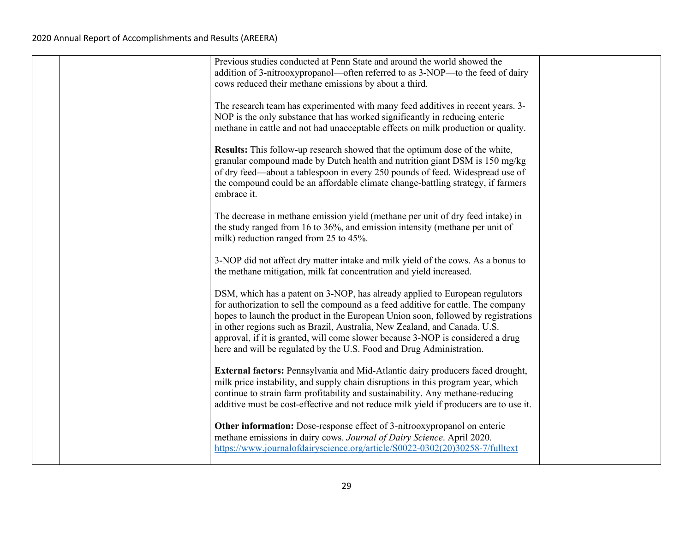|  | Previous studies conducted at Penn State and around the world showed the<br>addition of 3-nitrooxypropanol—often referred to as 3-NOP—to the feed of dairy<br>cows reduced their methane emissions by about a third.                                                                                                                                                                                                                                                                           |  |
|--|------------------------------------------------------------------------------------------------------------------------------------------------------------------------------------------------------------------------------------------------------------------------------------------------------------------------------------------------------------------------------------------------------------------------------------------------------------------------------------------------|--|
|  | The research team has experimented with many feed additives in recent years. 3-<br>NOP is the only substance that has worked significantly in reducing enteric<br>methane in cattle and not had unacceptable effects on milk production or quality.                                                                                                                                                                                                                                            |  |
|  | Results: This follow-up research showed that the optimum dose of the white,<br>granular compound made by Dutch health and nutrition giant DSM is 150 mg/kg<br>of dry feed—about a tablespoon in every 250 pounds of feed. Widespread use of<br>the compound could be an affordable climate change-battling strategy, if farmers<br>embrace it.                                                                                                                                                 |  |
|  | The decrease in methane emission yield (methane per unit of dry feed intake) in<br>the study ranged from 16 to 36%, and emission intensity (methane per unit of<br>milk) reduction ranged from 25 to 45%.                                                                                                                                                                                                                                                                                      |  |
|  | 3-NOP did not affect dry matter intake and milk yield of the cows. As a bonus to<br>the methane mitigation, milk fat concentration and yield increased.                                                                                                                                                                                                                                                                                                                                        |  |
|  | DSM, which has a patent on 3-NOP, has already applied to European regulators<br>for authorization to sell the compound as a feed additive for cattle. The company<br>hopes to launch the product in the European Union soon, followed by registrations<br>in other regions such as Brazil, Australia, New Zealand, and Canada. U.S.<br>approval, if it is granted, will come slower because 3-NOP is considered a drug<br>here and will be regulated by the U.S. Food and Drug Administration. |  |
|  | External factors: Pennsylvania and Mid-Atlantic dairy producers faced drought,<br>milk price instability, and supply chain disruptions in this program year, which<br>continue to strain farm profitability and sustainability. Any methane-reducing<br>additive must be cost-effective and not reduce milk yield if producers are to use it.                                                                                                                                                  |  |
|  | Other information: Dose-response effect of 3-nitrooxypropanol on enteric<br>methane emissions in dairy cows. Journal of Dairy Science. April 2020.<br>https://www.journalofdairyscience.org/article/S0022-0302(20)30258-7/fulltext                                                                                                                                                                                                                                                             |  |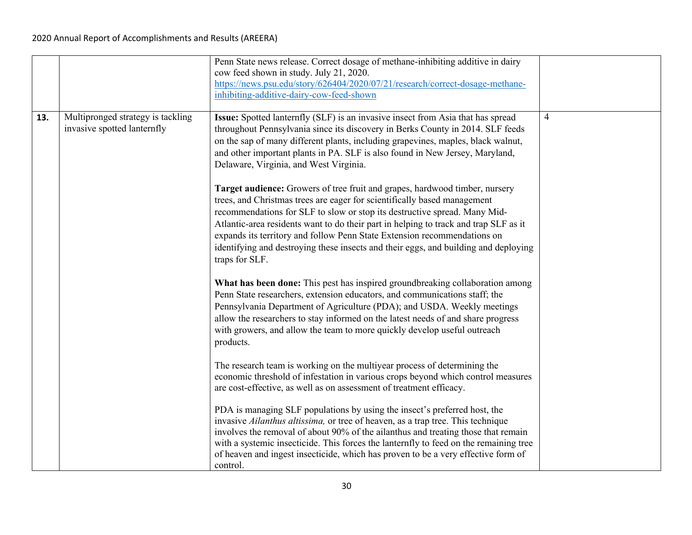|     |                                   | Penn State news release. Correct dosage of methane-inhibiting additive in dairy<br>cow feed shown in study. July 21, 2020.                                         |                |
|-----|-----------------------------------|--------------------------------------------------------------------------------------------------------------------------------------------------------------------|----------------|
|     |                                   | https://news.psu.edu/story/626404/2020/07/21/research/correct-dosage-methane-                                                                                      |                |
|     |                                   | inhibiting-additive-dairy-cow-feed-shown                                                                                                                           |                |
|     |                                   |                                                                                                                                                                    |                |
| 13. | Multipronged strategy is tackling | Issue: Spotted lanternfly (SLF) is an invasive insect from Asia that has spread                                                                                    | $\overline{4}$ |
|     | invasive spotted lanternfly       | throughout Pennsylvania since its discovery in Berks County in 2014. SLF feeds<br>on the sap of many different plants, including grapevines, maples, black walnut, |                |
|     |                                   | and other important plants in PA. SLF is also found in New Jersey, Maryland,                                                                                       |                |
|     |                                   | Delaware, Virginia, and West Virginia.                                                                                                                             |                |
|     |                                   |                                                                                                                                                                    |                |
|     |                                   | Target audience: Growers of tree fruit and grapes, hardwood timber, nursery                                                                                        |                |
|     |                                   | trees, and Christmas trees are eager for scientifically based management                                                                                           |                |
|     |                                   | recommendations for SLF to slow or stop its destructive spread. Many Mid-                                                                                          |                |
|     |                                   | Atlantic-area residents want to do their part in helping to track and trap SLF as it                                                                               |                |
|     |                                   | expands its territory and follow Penn State Extension recommendations on                                                                                           |                |
|     |                                   | identifying and destroying these insects and their eggs, and building and deploying<br>traps for SLF.                                                              |                |
|     |                                   |                                                                                                                                                                    |                |
|     |                                   | What has been done: This pest has inspired groundbreaking collaboration among                                                                                      |                |
|     |                                   | Penn State researchers, extension educators, and communications staff; the                                                                                         |                |
|     |                                   | Pennsylvania Department of Agriculture (PDA); and USDA. Weekly meetings                                                                                            |                |
|     |                                   | allow the researchers to stay informed on the latest needs of and share progress                                                                                   |                |
|     |                                   | with growers, and allow the team to more quickly develop useful outreach                                                                                           |                |
|     |                                   | products.                                                                                                                                                          |                |
|     |                                   | The research team is working on the multiyear process of determining the                                                                                           |                |
|     |                                   | economic threshold of infestation in various crops beyond which control measures                                                                                   |                |
|     |                                   | are cost-effective, as well as on assessment of treatment efficacy.                                                                                                |                |
|     |                                   | PDA is managing SLF populations by using the insect's preferred host, the                                                                                          |                |
|     |                                   | invasive Ailanthus altissima, or tree of heaven, as a trap tree. This technique                                                                                    |                |
|     |                                   | involves the removal of about 90% of the ailanthus and treating those that remain                                                                                  |                |
|     |                                   | with a systemic insecticide. This forces the lanternfly to feed on the remaining tree                                                                              |                |
|     |                                   | of heaven and ingest insecticide, which has proven to be a very effective form of                                                                                  |                |
|     |                                   | control.                                                                                                                                                           |                |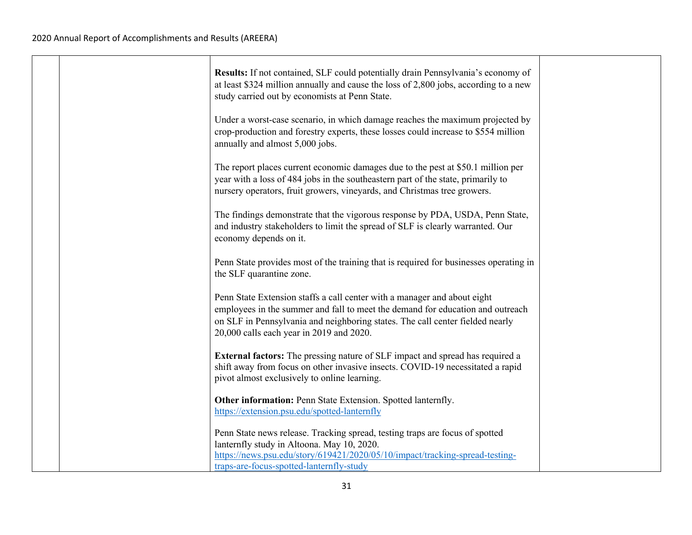|  | Results: If not contained, SLF could potentially drain Pennsylvania's economy of<br>at least \$324 million annually and cause the loss of 2,800 jobs, according to a new<br>study carried out by economists at Penn State.                                                              |  |
|--|-----------------------------------------------------------------------------------------------------------------------------------------------------------------------------------------------------------------------------------------------------------------------------------------|--|
|  | Under a worst-case scenario, in which damage reaches the maximum projected by<br>crop-production and forestry experts, these losses could increase to \$554 million<br>annually and almost 5,000 jobs.                                                                                  |  |
|  | The report places current economic damages due to the pest at \$50.1 million per<br>year with a loss of 484 jobs in the southeastern part of the state, primarily to<br>nursery operators, fruit growers, vineyards, and Christmas tree growers.                                        |  |
|  | The findings demonstrate that the vigorous response by PDA, USDA, Penn State,<br>and industry stakeholders to limit the spread of SLF is clearly warranted. Our<br>economy depends on it.                                                                                               |  |
|  | Penn State provides most of the training that is required for businesses operating in<br>the SLF quarantine zone.                                                                                                                                                                       |  |
|  | Penn State Extension staffs a call center with a manager and about eight<br>employees in the summer and fall to meet the demand for education and outreach<br>on SLF in Pennsylvania and neighboring states. The call center fielded nearly<br>20,000 calls each year in 2019 and 2020. |  |
|  | <b>External factors:</b> The pressing nature of SLF impact and spread has required a<br>shift away from focus on other invasive insects. COVID-19 necessitated a rapid<br>pivot almost exclusively to online learning.                                                                  |  |
|  | Other information: Penn State Extension. Spotted lanternfly.<br>https://extension.psu.edu/spotted-lanternfly                                                                                                                                                                            |  |
|  | Penn State news release. Tracking spread, testing traps are focus of spotted<br>lanternfly study in Altoona. May 10, 2020.<br>https://news.psu.edu/story/619421/2020/05/10/impact/tracking-spread-testing-<br>traps-are-focus-spotted-lanternfly-study                                  |  |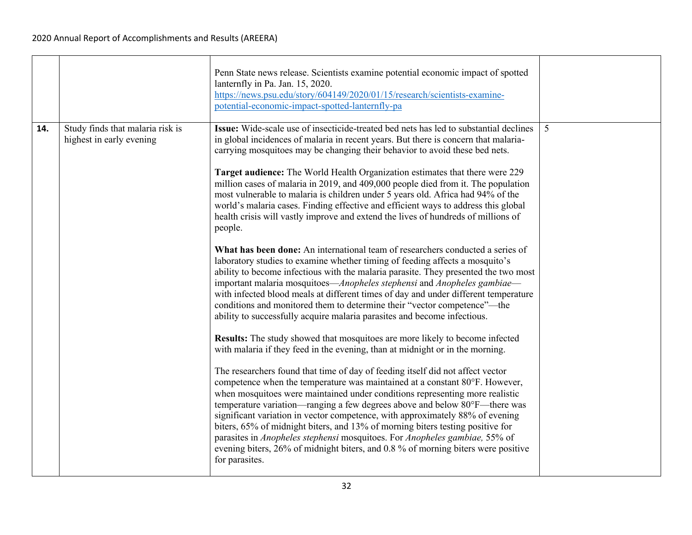|     |                                                              | Penn State news release. Scientists examine potential economic impact of spotted<br>lanternfly in Pa. Jan. 15, 2020.<br>https://news.psu.edu/story/604149/2020/01/15/research/scientists-examine-<br>potential-economic-impact-spotted-lanternfly-pa                                                                                                                                                                                                                                                                                                                                                                                                                                                                                                                                                                                                                                                                                                                                                                                                                                                                                                                                                                                                                                                                                                                                                                                                                                                                                                                                                                                                                                                                                                                                                                                                                                                                                                                                                                                                                                                                                                       |   |
|-----|--------------------------------------------------------------|------------------------------------------------------------------------------------------------------------------------------------------------------------------------------------------------------------------------------------------------------------------------------------------------------------------------------------------------------------------------------------------------------------------------------------------------------------------------------------------------------------------------------------------------------------------------------------------------------------------------------------------------------------------------------------------------------------------------------------------------------------------------------------------------------------------------------------------------------------------------------------------------------------------------------------------------------------------------------------------------------------------------------------------------------------------------------------------------------------------------------------------------------------------------------------------------------------------------------------------------------------------------------------------------------------------------------------------------------------------------------------------------------------------------------------------------------------------------------------------------------------------------------------------------------------------------------------------------------------------------------------------------------------------------------------------------------------------------------------------------------------------------------------------------------------------------------------------------------------------------------------------------------------------------------------------------------------------------------------------------------------------------------------------------------------------------------------------------------------------------------------------------------------|---|
| 14. | Study finds that malaria risk is<br>highest in early evening | <b>Issue:</b> Wide-scale use of insecticide-treated bed nets has led to substantial declines<br>in global incidences of malaria in recent years. But there is concern that malaria-<br>carrying mosquitoes may be changing their behavior to avoid these bed nets.<br>Target audience: The World Health Organization estimates that there were 229<br>million cases of malaria in 2019, and 409,000 people died from it. The population<br>most vulnerable to malaria is children under 5 years old. Africa had 94% of the<br>world's malaria cases. Finding effective and efficient ways to address this global<br>health crisis will vastly improve and extend the lives of hundreds of millions of<br>people.<br>What has been done: An international team of researchers conducted a series of<br>laboratory studies to examine whether timing of feeding affects a mosquito's<br>ability to become infectious with the malaria parasite. They presented the two most<br>important malaria mosquitoes—Anopheles stephensi and Anopheles gambiae—<br>with infected blood meals at different times of day and under different temperature<br>conditions and monitored them to determine their "vector competence"—the<br>ability to successfully acquire malaria parasites and become infectious.<br>Results: The study showed that mosquitoes are more likely to become infected<br>with malaria if they feed in the evening, than at midnight or in the morning.<br>The researchers found that time of day of feeding itself did not affect vector<br>competence when the temperature was maintained at a constant 80°F. However,<br>when mosquitoes were maintained under conditions representing more realistic<br>temperature variation—ranging a few degrees above and below 80°F—there was<br>significant variation in vector competence, with approximately 88% of evening<br>biters, 65% of midnight biters, and 13% of morning biters testing positive for<br>parasites in Anopheles stephensi mosquitoes. For Anopheles gambiae, 55% of<br>evening biters, 26% of midnight biters, and 0.8% of morning biters were positive<br>for parasites. | 5 |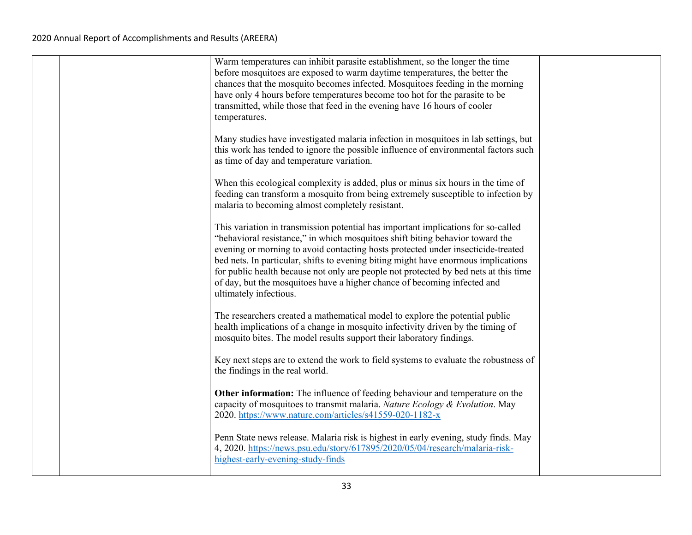|  | Warm temperatures can inhibit parasite establishment, so the longer the time<br>before mosquitoes are exposed to warm daytime temperatures, the better the<br>chances that the mosquito becomes infected. Mosquitoes feeding in the morning<br>have only 4 hours before temperatures become too hot for the parasite to be<br>transmitted, while those that feed in the evening have 16 hours of cooler<br>temperatures.                                                                                                                   |  |
|--|--------------------------------------------------------------------------------------------------------------------------------------------------------------------------------------------------------------------------------------------------------------------------------------------------------------------------------------------------------------------------------------------------------------------------------------------------------------------------------------------------------------------------------------------|--|
|  | Many studies have investigated malaria infection in mosquitoes in lab settings, but<br>this work has tended to ignore the possible influence of environmental factors such<br>as time of day and temperature variation.                                                                                                                                                                                                                                                                                                                    |  |
|  | When this ecological complexity is added, plus or minus six hours in the time of<br>feeding can transform a mosquito from being extremely susceptible to infection by<br>malaria to becoming almost completely resistant.                                                                                                                                                                                                                                                                                                                  |  |
|  | This variation in transmission potential has important implications for so-called<br>"behavioral resistance," in which mosquitoes shift biting behavior toward the<br>evening or morning to avoid contacting hosts protected under insecticide-treated<br>bed nets. In particular, shifts to evening biting might have enormous implications<br>for public health because not only are people not protected by bed nets at this time<br>of day, but the mosquitoes have a higher chance of becoming infected and<br>ultimately infectious. |  |
|  | The researchers created a mathematical model to explore the potential public<br>health implications of a change in mosquito infectivity driven by the timing of<br>mosquito bites. The model results support their laboratory findings.                                                                                                                                                                                                                                                                                                    |  |
|  | Key next steps are to extend the work to field systems to evaluate the robustness of<br>the findings in the real world.                                                                                                                                                                                                                                                                                                                                                                                                                    |  |
|  | Other information: The influence of feeding behaviour and temperature on the<br>capacity of mosquitoes to transmit malaria. Nature Ecology & Evolution. May<br>2020. https://www.nature.com/articles/s41559-020-1182-x                                                                                                                                                                                                                                                                                                                     |  |
|  | Penn State news release. Malaria risk is highest in early evening, study finds. May<br>4, 2020. https://news.psu.edu/story/617895/2020/05/04/research/malaria-risk-<br>highest-early-evening-study-finds                                                                                                                                                                                                                                                                                                                                   |  |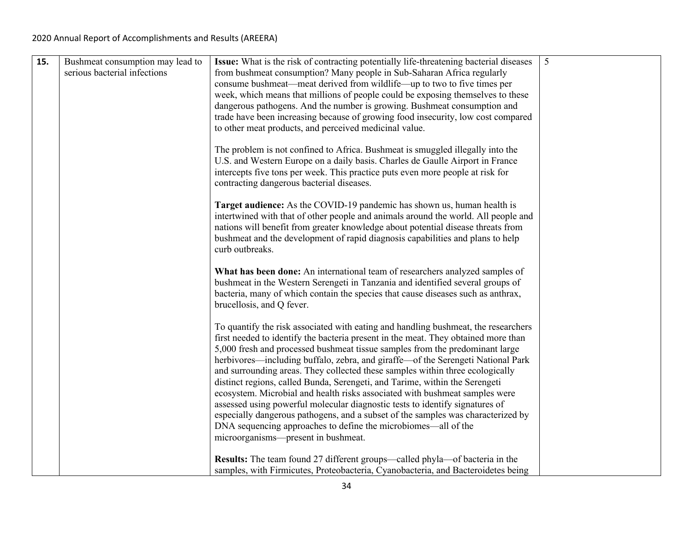| 15. | Bushmeat consumption may lead to<br>serious bacterial infections | Issue: What is the risk of contracting potentially life-threatening bacterial diseases<br>from bushmeat consumption? Many people in Sub-Saharan Africa regularly<br>consume bushmeat—meat derived from wildlife—up to two to five times per<br>week, which means that millions of people could be exposing themselves to these<br>dangerous pathogens. And the number is growing. Bushmeat consumption and<br>trade have been increasing because of growing food insecurity, low cost compared<br>to other meat products, and perceived medicinal value.<br>The problem is not confined to Africa. Bushmeat is smuggled illegally into the<br>U.S. and Western Europe on a daily basis. Charles de Gaulle Airport in France<br>intercepts five tons per week. This practice puts even more people at risk for<br>contracting dangerous bacterial diseases.<br>Target audience: As the COVID-19 pandemic has shown us, human health is<br>intertwined with that of other people and animals around the world. All people and<br>nations will benefit from greater knowledge about potential disease threats from<br>bushmeat and the development of rapid diagnosis capabilities and plans to help<br>curb outbreaks.<br>What has been done: An international team of researchers analyzed samples of<br>bushmeat in the Western Serengeti in Tanzania and identified several groups of<br>bacteria, many of which contain the species that cause diseases such as anthrax,<br>brucellosis, and Q fever.<br>To quantify the risk associated with eating and handling bushmeat, the researchers<br>first needed to identify the bacteria present in the meat. They obtained more than<br>5,000 fresh and processed bushmeat tissue samples from the predominant large<br>herbivores—including buffalo, zebra, and giraffe—of the Serengeti National Park<br>and surrounding areas. They collected these samples within three ecologically<br>distinct regions, called Bunda, Serengeti, and Tarime, within the Serengeti<br>ecosystem. Microbial and health risks associated with bushmeat samples were<br>assessed using powerful molecular diagnostic tests to identify signatures of<br>especially dangerous pathogens, and a subset of the samples was characterized by<br>DNA sequencing approaches to define the microbiomes—all of the<br>microorganisms—present in bushmeat.<br>Results: The team found 27 different groups—called phyla—of bacteria in the<br>samples, with Firmicutes, Proteobacteria, Cyanobacteria, and Bacteroidetes being | 5 |
|-----|------------------------------------------------------------------|-------------------------------------------------------------------------------------------------------------------------------------------------------------------------------------------------------------------------------------------------------------------------------------------------------------------------------------------------------------------------------------------------------------------------------------------------------------------------------------------------------------------------------------------------------------------------------------------------------------------------------------------------------------------------------------------------------------------------------------------------------------------------------------------------------------------------------------------------------------------------------------------------------------------------------------------------------------------------------------------------------------------------------------------------------------------------------------------------------------------------------------------------------------------------------------------------------------------------------------------------------------------------------------------------------------------------------------------------------------------------------------------------------------------------------------------------------------------------------------------------------------------------------------------------------------------------------------------------------------------------------------------------------------------------------------------------------------------------------------------------------------------------------------------------------------------------------------------------------------------------------------------------------------------------------------------------------------------------------------------------------------------------------------------------------------------------------------------------------------------------------------------------------------------------------------------------------------------------------------------------------------------------------------------------------------------------------------------------------------------------------------------------------------------------------------------------------------------------------------------------------------------------------------------------------|---|
|-----|------------------------------------------------------------------|-------------------------------------------------------------------------------------------------------------------------------------------------------------------------------------------------------------------------------------------------------------------------------------------------------------------------------------------------------------------------------------------------------------------------------------------------------------------------------------------------------------------------------------------------------------------------------------------------------------------------------------------------------------------------------------------------------------------------------------------------------------------------------------------------------------------------------------------------------------------------------------------------------------------------------------------------------------------------------------------------------------------------------------------------------------------------------------------------------------------------------------------------------------------------------------------------------------------------------------------------------------------------------------------------------------------------------------------------------------------------------------------------------------------------------------------------------------------------------------------------------------------------------------------------------------------------------------------------------------------------------------------------------------------------------------------------------------------------------------------------------------------------------------------------------------------------------------------------------------------------------------------------------------------------------------------------------------------------------------------------------------------------------------------------------------------------------------------------------------------------------------------------------------------------------------------------------------------------------------------------------------------------------------------------------------------------------------------------------------------------------------------------------------------------------------------------------------------------------------------------------------------------------------------------------|---|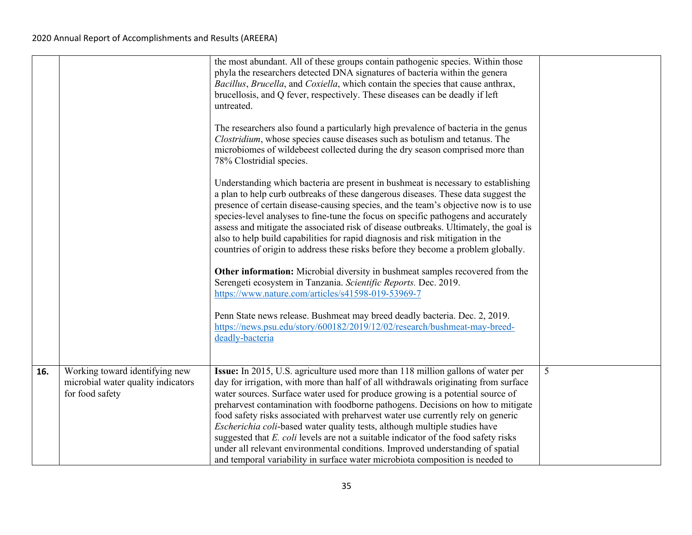|     |                                                                                         | the most abundant. All of these groups contain pathogenic species. Within those<br>phyla the researchers detected DNA signatures of bacteria within the genera<br>Bacillus, Brucella, and Coxiella, which contain the species that cause anthrax,<br>brucellosis, and Q fever, respectively. These diseases can be deadly if left<br>untreated.<br>The researchers also found a particularly high prevalence of bacteria in the genus<br>Clostridium, whose species cause diseases such as botulism and tetanus. The<br>microbiomes of wildebeest collected during the dry season comprised more than<br>78% Clostridial species.<br>Understanding which bacteria are present in bushmeat is necessary to establishing<br>a plan to help curb outbreaks of these dangerous diseases. These data suggest the<br>presence of certain disease-causing species, and the team's objective now is to use<br>species-level analyses to fine-tune the focus on specific pathogens and accurately<br>assess and mitigate the associated risk of disease outbreaks. Ultimately, the goal is<br>also to help build capabilities for rapid diagnosis and risk mitigation in the<br>countries of origin to address these risks before they become a problem globally.<br>Other information: Microbial diversity in bushmeat samples recovered from the<br>Serengeti ecosystem in Tanzania. Scientific Reports. Dec. 2019.<br>https://www.nature.com/articles/s41598-019-53969-7<br>Penn State news release. Bushmeat may breed deadly bacteria. Dec. 2, 2019.<br>https://news.psu.edu/story/600182/2019/12/02/research/bushmeat-may-breed-<br>deadly-bacteria |   |
|-----|-----------------------------------------------------------------------------------------|--------------------------------------------------------------------------------------------------------------------------------------------------------------------------------------------------------------------------------------------------------------------------------------------------------------------------------------------------------------------------------------------------------------------------------------------------------------------------------------------------------------------------------------------------------------------------------------------------------------------------------------------------------------------------------------------------------------------------------------------------------------------------------------------------------------------------------------------------------------------------------------------------------------------------------------------------------------------------------------------------------------------------------------------------------------------------------------------------------------------------------------------------------------------------------------------------------------------------------------------------------------------------------------------------------------------------------------------------------------------------------------------------------------------------------------------------------------------------------------------------------------------------------------------------------------------------------------------------------------------------------------------------|---|
| 16. | Working toward identifying new<br>microbial water quality indicators<br>for food safety | Issue: In 2015, U.S. agriculture used more than 118 million gallons of water per<br>day for irrigation, with more than half of all withdrawals originating from surface<br>water sources. Surface water used for produce growing is a potential source of<br>preharvest contamination with foodborne pathogens. Decisions on how to mitigate<br>food safety risks associated with preharvest water use currently rely on generic<br>Escherichia coli-based water quality tests, although multiple studies have<br>suggested that $E$ . coli levels are not a suitable indicator of the food safety risks<br>under all relevant environmental conditions. Improved understanding of spatial<br>and temporal variability in surface water microbiota composition is needed to                                                                                                                                                                                                                                                                                                                                                                                                                                                                                                                                                                                                                                                                                                                                                                                                                                                                      | 5 |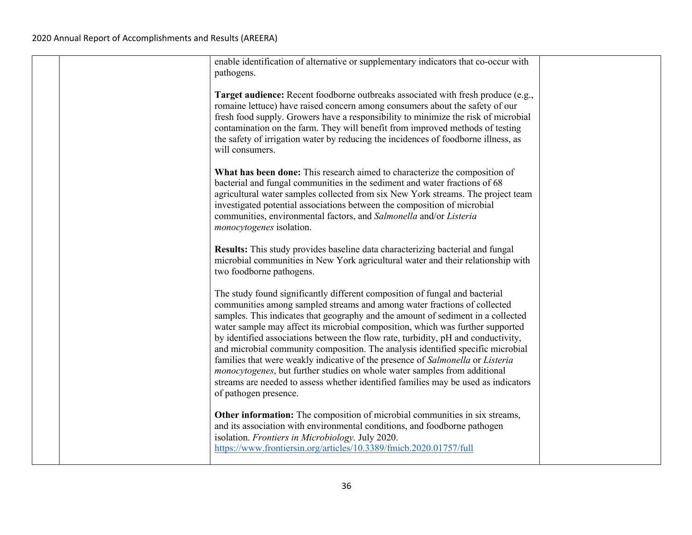|  | enable identification of alternative or supplementary indicators that co-occur with<br>pathogens.                                                                                                                                                                                                                                                                                                                                                                                                                                                                                                                                                                                                                                                                                   |  |
|--|-------------------------------------------------------------------------------------------------------------------------------------------------------------------------------------------------------------------------------------------------------------------------------------------------------------------------------------------------------------------------------------------------------------------------------------------------------------------------------------------------------------------------------------------------------------------------------------------------------------------------------------------------------------------------------------------------------------------------------------------------------------------------------------|--|
|  | Target audience: Recent foodborne outbreaks associated with fresh produce (e.g.,<br>romaine lettuce) have raised concern among consumers about the safety of our<br>fresh food supply. Growers have a responsibility to minimize the risk of microbial<br>contamination on the farm. They will benefit from improved methods of testing<br>the safety of irrigation water by reducing the incidences of foodborne illness, as<br>will consumers.                                                                                                                                                                                                                                                                                                                                    |  |
|  | What has been done: This research aimed to characterize the composition of<br>bacterial and fungal communities in the sediment and water fractions of 68<br>agricultural water samples collected from six New York streams. The project team<br>investigated potential associations between the composition of microbial<br>communities, environmental factors, and Salmonella and/or Listeria<br>monocytogenes isolation.                                                                                                                                                                                                                                                                                                                                                          |  |
|  | Results: This study provides baseline data characterizing bacterial and fungal<br>microbial communities in New York agricultural water and their relationship with<br>two foodborne pathogens.                                                                                                                                                                                                                                                                                                                                                                                                                                                                                                                                                                                      |  |
|  | The study found significantly different composition of fungal and bacterial<br>communities among sampled streams and among water fractions of collected<br>samples. This indicates that geography and the amount of sediment in a collected<br>water sample may affect its microbial composition, which was further supported<br>by identified associations between the flow rate, turbidity, pH and conductivity,<br>and microbial community composition. The analysis identified specific microbial<br>families that were weakly indicative of the presence of Salmonella or Listeria<br>monocytogenes, but further studies on whole water samples from additional<br>streams are needed to assess whether identified families may be used as indicators<br>of pathogen presence. |  |
|  | Other information: The composition of microbial communities in six streams,<br>and its association with environmental conditions, and foodborne pathogen<br>isolation. Frontiers in Microbiology. July 2020.<br>https://www.frontiersin.org/articles/10.3389/fmicb.2020.01757/full                                                                                                                                                                                                                                                                                                                                                                                                                                                                                                  |  |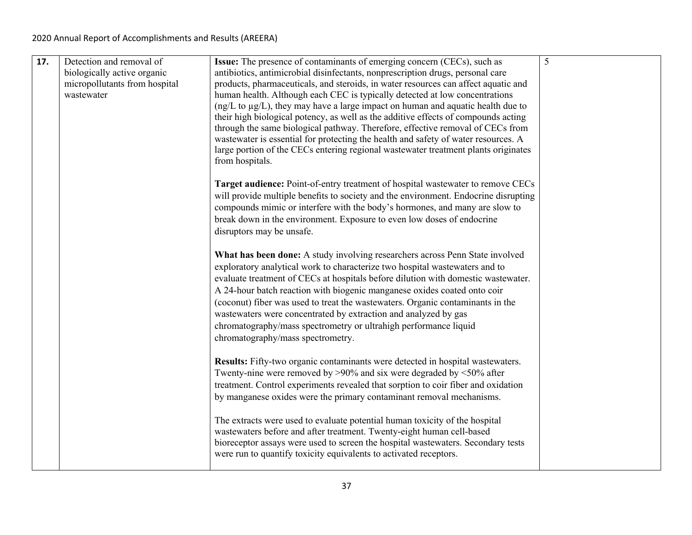| 17. | Detection and removal of      | <b>Issue:</b> The presence of contaminants of emerging concern (CECs), such as                                                                                   | 5 |
|-----|-------------------------------|------------------------------------------------------------------------------------------------------------------------------------------------------------------|---|
|     | biologically active organic   | antibiotics, antimicrobial disinfectants, nonprescription drugs, personal care                                                                                   |   |
|     | micropollutants from hospital | products, pharmaceuticals, and steroids, in water resources can affect aquatic and                                                                               |   |
|     | wastewater                    | human health. Although each CEC is typically detected at low concentrations                                                                                      |   |
|     |                               | $(ng/L)$ to $\mu$ g/L), they may have a large impact on human and aquatic health due to                                                                          |   |
|     |                               | their high biological potency, as well as the additive effects of compounds acting                                                                               |   |
|     |                               | through the same biological pathway. Therefore, effective removal of CECs from                                                                                   |   |
|     |                               | wastewater is essential for protecting the health and safety of water resources. A                                                                               |   |
|     |                               | large portion of the CECs entering regional wastewater treatment plants originates<br>from hospitals.                                                            |   |
|     |                               | Target audience: Point-of-entry treatment of hospital wastewater to remove CECs                                                                                  |   |
|     |                               | will provide multiple benefits to society and the environment. Endocrine disrupting                                                                              |   |
|     |                               | compounds mimic or interfere with the body's hormones, and many are slow to                                                                                      |   |
|     |                               | break down in the environment. Exposure to even low doses of endocrine                                                                                           |   |
|     |                               | disruptors may be unsafe.                                                                                                                                        |   |
|     |                               | What has been done: A study involving researchers across Penn State involved                                                                                     |   |
|     |                               | exploratory analytical work to characterize two hospital wastewaters and to<br>evaluate treatment of CECs at hospitals before dilution with domestic wastewater. |   |
|     |                               | A 24-hour batch reaction with biogenic manganese oxides coated onto coir                                                                                         |   |
|     |                               | (coconut) fiber was used to treat the wastewaters. Organic contaminants in the                                                                                   |   |
|     |                               | wastewaters were concentrated by extraction and analyzed by gas                                                                                                  |   |
|     |                               | chromatography/mass spectrometry or ultrahigh performance liquid                                                                                                 |   |
|     |                               | chromatography/mass spectrometry.                                                                                                                                |   |
|     |                               |                                                                                                                                                                  |   |
|     |                               | Results: Fifty-two organic contaminants were detected in hospital wastewaters.                                                                                   |   |
|     |                               | Twenty-nine were removed by $>90\%$ and six were degraded by $<50\%$ after                                                                                       |   |
|     |                               | treatment. Control experiments revealed that sorption to coir fiber and oxidation                                                                                |   |
|     |                               | by manganese oxides were the primary contaminant removal mechanisms.                                                                                             |   |
|     |                               | The extracts were used to evaluate potential human toxicity of the hospital                                                                                      |   |
|     |                               | wastewaters before and after treatment. Twenty-eight human cell-based                                                                                            |   |
|     |                               | bioreceptor assays were used to screen the hospital wastewaters. Secondary tests                                                                                 |   |
|     |                               | were run to quantify toxicity equivalents to activated receptors.                                                                                                |   |
|     |                               |                                                                                                                                                                  |   |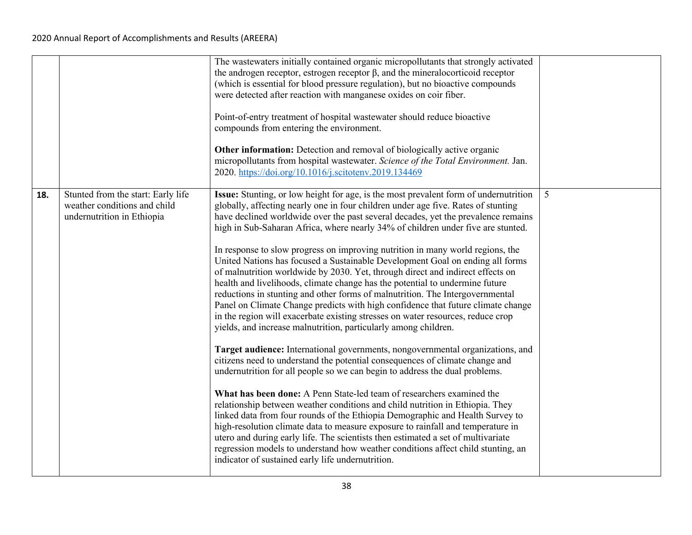|     |                                                                                                  | The wastewaters initially contained organic micropollutants that strongly activated<br>the androgen receptor, estrogen receptor $\beta$ , and the mineral ocorticoid receptor<br>(which is essential for blood pressure regulation), but no bioactive compounds<br>were detected after reaction with manganese oxides on coir fiber.<br>Point-of-entry treatment of hospital wastewater should reduce bioactive<br>compounds from entering the environment.<br><b>Other information:</b> Detection and removal of biologically active organic<br>micropollutants from hospital wastewater. Science of the Total Environment. Jan.<br>2020. https://doi.org/10.1016/j.scitotenv.2019.134469                                                                                                                                                                                                                                                                                                                                                                                                                                                                                                                                                                                                                                                                                                                                                                                                                                                                                                                                                                                                                                                                                                                                     |   |
|-----|--------------------------------------------------------------------------------------------------|--------------------------------------------------------------------------------------------------------------------------------------------------------------------------------------------------------------------------------------------------------------------------------------------------------------------------------------------------------------------------------------------------------------------------------------------------------------------------------------------------------------------------------------------------------------------------------------------------------------------------------------------------------------------------------------------------------------------------------------------------------------------------------------------------------------------------------------------------------------------------------------------------------------------------------------------------------------------------------------------------------------------------------------------------------------------------------------------------------------------------------------------------------------------------------------------------------------------------------------------------------------------------------------------------------------------------------------------------------------------------------------------------------------------------------------------------------------------------------------------------------------------------------------------------------------------------------------------------------------------------------------------------------------------------------------------------------------------------------------------------------------------------------------------------------------------------------|---|
| 18. | Stunted from the start: Early life<br>weather conditions and child<br>undernutrition in Ethiopia | Issue: Stunting, or low height for age, is the most prevalent form of undernutrition<br>globally, affecting nearly one in four children under age five. Rates of stunting<br>have declined worldwide over the past several decades, yet the prevalence remains<br>high in Sub-Saharan Africa, where nearly 34% of children under five are stunted.<br>In response to slow progress on improving nutrition in many world regions, the<br>United Nations has focused a Sustainable Development Goal on ending all forms<br>of malnutrition worldwide by 2030. Yet, through direct and indirect effects on<br>health and livelihoods, climate change has the potential to undermine future<br>reductions in stunting and other forms of malnutrition. The Intergovernmental<br>Panel on Climate Change predicts with high confidence that future climate change<br>in the region will exacerbate existing stresses on water resources, reduce crop<br>yields, and increase malnutrition, particularly among children.<br>Target audience: International governments, nongovernmental organizations, and<br>citizens need to understand the potential consequences of climate change and<br>undernutrition for all people so we can begin to address the dual problems.<br>What has been done: A Penn State-led team of researchers examined the<br>relationship between weather conditions and child nutrition in Ethiopia. They<br>linked data from four rounds of the Ethiopia Demographic and Health Survey to<br>high-resolution climate data to measure exposure to rainfall and temperature in<br>utero and during early life. The scientists then estimated a set of multivariate<br>regression models to understand how weather conditions affect child stunting, an<br>indicator of sustained early life undernutrition. | 5 |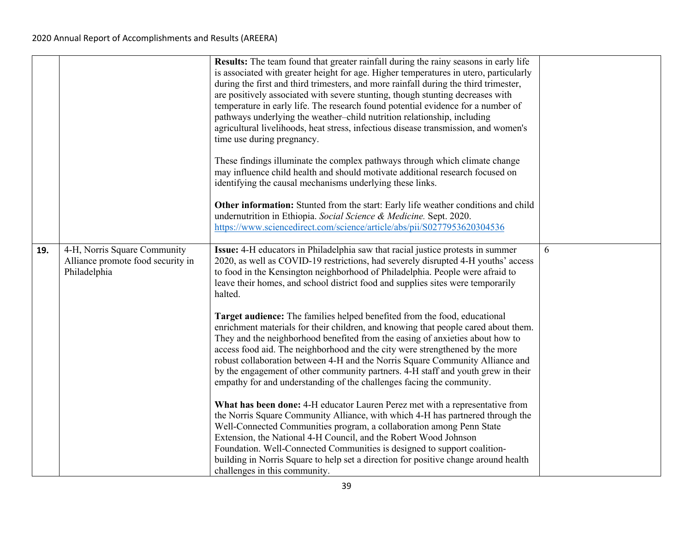|     |                                                                                   | Results: The team found that greater rainfall during the rainy seasons in early life<br>is associated with greater height for age. Higher temperatures in utero, particularly<br>during the first and third trimesters, and more rainfall during the third trimester,<br>are positively associated with severe stunting, though stunting decreases with<br>temperature in early life. The research found potential evidence for a number of<br>pathways underlying the weather-child nutrition relationship, including<br>agricultural livelihoods, heat stress, infectious disease transmission, and women's<br>time use during pregnancy. |   |
|-----|-----------------------------------------------------------------------------------|---------------------------------------------------------------------------------------------------------------------------------------------------------------------------------------------------------------------------------------------------------------------------------------------------------------------------------------------------------------------------------------------------------------------------------------------------------------------------------------------------------------------------------------------------------------------------------------------------------------------------------------------|---|
|     |                                                                                   | These findings illuminate the complex pathways through which climate change<br>may influence child health and should motivate additional research focused on<br>identifying the causal mechanisms underlying these links.                                                                                                                                                                                                                                                                                                                                                                                                                   |   |
|     |                                                                                   | Other information: Stunted from the start: Early life weather conditions and child<br>undernutrition in Ethiopia. Social Science & Medicine. Sept. 2020.<br>https://www.sciencedirect.com/science/article/abs/pii/S0277953620304536                                                                                                                                                                                                                                                                                                                                                                                                         |   |
| 19. | 4-H, Norris Square Community<br>Alliance promote food security in<br>Philadelphia | Issue: 4-H educators in Philadelphia saw that racial justice protests in summer<br>2020, as well as COVID-19 restrictions, had severely disrupted 4-H youths' access<br>to food in the Kensington neighborhood of Philadelphia. People were afraid to<br>leave their homes, and school district food and supplies sites were temporarily<br>halted.                                                                                                                                                                                                                                                                                         | 6 |
|     |                                                                                   | Target audience: The families helped benefited from the food, educational<br>enrichment materials for their children, and knowing that people cared about them.<br>They and the neighborhood benefited from the easing of anxieties about how to<br>access food aid. The neighborhood and the city were strengthened by the more<br>robust collaboration between 4-H and the Norris Square Community Alliance and<br>by the engagement of other community partners. 4-H staff and youth grew in their<br>empathy for and understanding of the challenges facing the community.                                                              |   |
|     |                                                                                   | What has been done: 4-H educator Lauren Perez met with a representative from<br>the Norris Square Community Alliance, with which 4-H has partnered through the<br>Well-Connected Communities program, a collaboration among Penn State<br>Extension, the National 4-H Council, and the Robert Wood Johnson<br>Foundation. Well-Connected Communities is designed to support coalition-<br>building in Norris Square to help set a direction for positive change around health<br>challenges in this community.                                                                                                                              |   |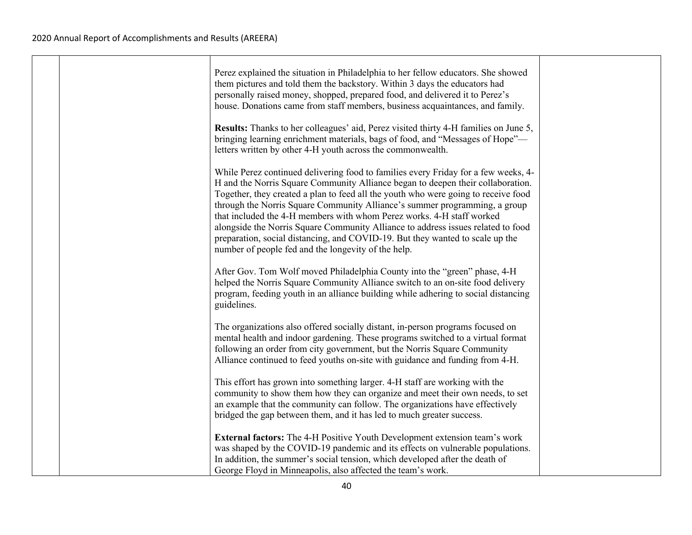|  | Perez explained the situation in Philadelphia to her fellow educators. She showed<br>them pictures and told them the backstory. Within 3 days the educators had<br>personally raised money, shopped, prepared food, and delivered it to Perez's<br>house. Donations came from staff members, business acquaintances, and family.<br>Results: Thanks to her colleagues' aid, Perez visited thirty 4-H families on June 5,<br>bringing learning enrichment materials, bags of food, and "Messages of Hope"-                                                                                                                                                                                                     |  |
|--|---------------------------------------------------------------------------------------------------------------------------------------------------------------------------------------------------------------------------------------------------------------------------------------------------------------------------------------------------------------------------------------------------------------------------------------------------------------------------------------------------------------------------------------------------------------------------------------------------------------------------------------------------------------------------------------------------------------|--|
|  | letters written by other 4-H youth across the commonwealth.<br>While Perez continued delivering food to families every Friday for a few weeks, 4-<br>H and the Norris Square Community Alliance began to deepen their collaboration.<br>Together, they created a plan to feed all the youth who were going to receive food<br>through the Norris Square Community Alliance's summer programming, a group<br>that included the 4-H members with whom Perez works. 4-H staff worked<br>alongside the Norris Square Community Alliance to address issues related to food<br>preparation, social distancing, and COVID-19. But they wanted to scale up the<br>number of people fed and the longevity of the help. |  |
|  | After Gov. Tom Wolf moved Philadelphia County into the "green" phase, 4-H<br>helped the Norris Square Community Alliance switch to an on-site food delivery<br>program, feeding youth in an alliance building while adhering to social distancing<br>guidelines.                                                                                                                                                                                                                                                                                                                                                                                                                                              |  |
|  | The organizations also offered socially distant, in-person programs focused on<br>mental health and indoor gardening. These programs switched to a virtual format<br>following an order from city government, but the Norris Square Community<br>Alliance continued to feed youths on-site with guidance and funding from 4-H.                                                                                                                                                                                                                                                                                                                                                                                |  |
|  | This effort has grown into something larger. 4-H staff are working with the<br>community to show them how they can organize and meet their own needs, to set<br>an example that the community can follow. The organizations have effectively<br>bridged the gap between them, and it has led to much greater success.                                                                                                                                                                                                                                                                                                                                                                                         |  |
|  | <b>External factors:</b> The 4-H Positive Youth Development extension team's work<br>was shaped by the COVID-19 pandemic and its effects on vulnerable populations.<br>In addition, the summer's social tension, which developed after the death of<br>George Floyd in Minneapolis, also affected the team's work.                                                                                                                                                                                                                                                                                                                                                                                            |  |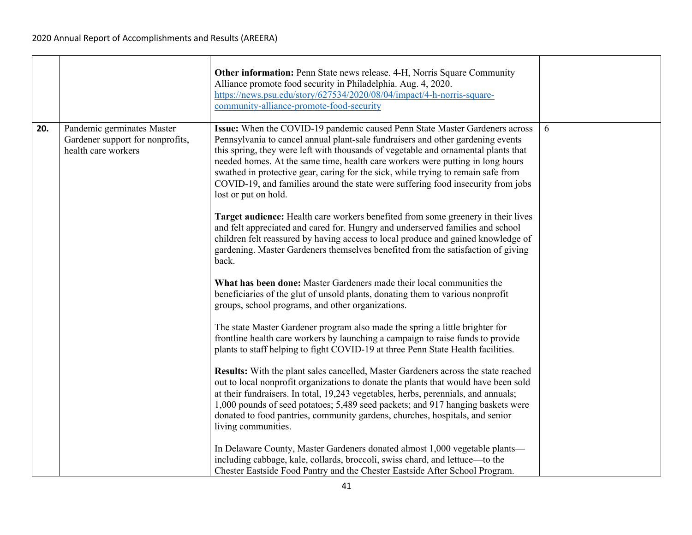|     |                                                                                       | Other information: Penn State news release. 4-H, Norris Square Community<br>Alliance promote food security in Philadelphia. Aug. 4, 2020.<br>https://news.psu.edu/story/627534/2020/08/04/impact/4-h-norris-square-<br>community-alliance-promote-food-security                                                                                                                                                                                                                                                                         |   |
|-----|---------------------------------------------------------------------------------------|-----------------------------------------------------------------------------------------------------------------------------------------------------------------------------------------------------------------------------------------------------------------------------------------------------------------------------------------------------------------------------------------------------------------------------------------------------------------------------------------------------------------------------------------|---|
| 20. | Pandemic germinates Master<br>Gardener support for nonprofits,<br>health care workers | Issue: When the COVID-19 pandemic caused Penn State Master Gardeners across<br>Pennsylvania to cancel annual plant-sale fundraisers and other gardening events<br>this spring, they were left with thousands of vegetable and ornamental plants that<br>needed homes. At the same time, health care workers were putting in long hours<br>swathed in protective gear, caring for the sick, while trying to remain safe from<br>COVID-19, and families around the state were suffering food insecurity from jobs<br>lost or put on hold. | 6 |
|     |                                                                                       | Target audience: Health care workers benefited from some greenery in their lives<br>and felt appreciated and cared for. Hungry and underserved families and school<br>children felt reassured by having access to local produce and gained knowledge of<br>gardening. Master Gardeners themselves benefited from the satisfaction of giving<br>back.                                                                                                                                                                                    |   |
|     |                                                                                       | What has been done: Master Gardeners made their local communities the<br>beneficiaries of the glut of unsold plants, donating them to various nonprofit<br>groups, school programs, and other organizations.                                                                                                                                                                                                                                                                                                                            |   |
|     |                                                                                       | The state Master Gardener program also made the spring a little brighter for<br>frontline health care workers by launching a campaign to raise funds to provide<br>plants to staff helping to fight COVID-19 at three Penn State Health facilities.                                                                                                                                                                                                                                                                                     |   |
|     |                                                                                       | Results: With the plant sales cancelled, Master Gardeners across the state reached<br>out to local nonprofit organizations to donate the plants that would have been sold<br>at their fundraisers. In total, 19,243 vegetables, herbs, perennials, and annuals;<br>1,000 pounds of seed potatoes; 5,489 seed packets; and 917 hanging baskets were<br>donated to food pantries, community gardens, churches, hospitals, and senior<br>living communities.                                                                               |   |
|     |                                                                                       | In Delaware County, Master Gardeners donated almost 1,000 vegetable plants-<br>including cabbage, kale, collards, broccoli, swiss chard, and lettuce-to the<br>Chester Eastside Food Pantry and the Chester Eastside After School Program.                                                                                                                                                                                                                                                                                              |   |